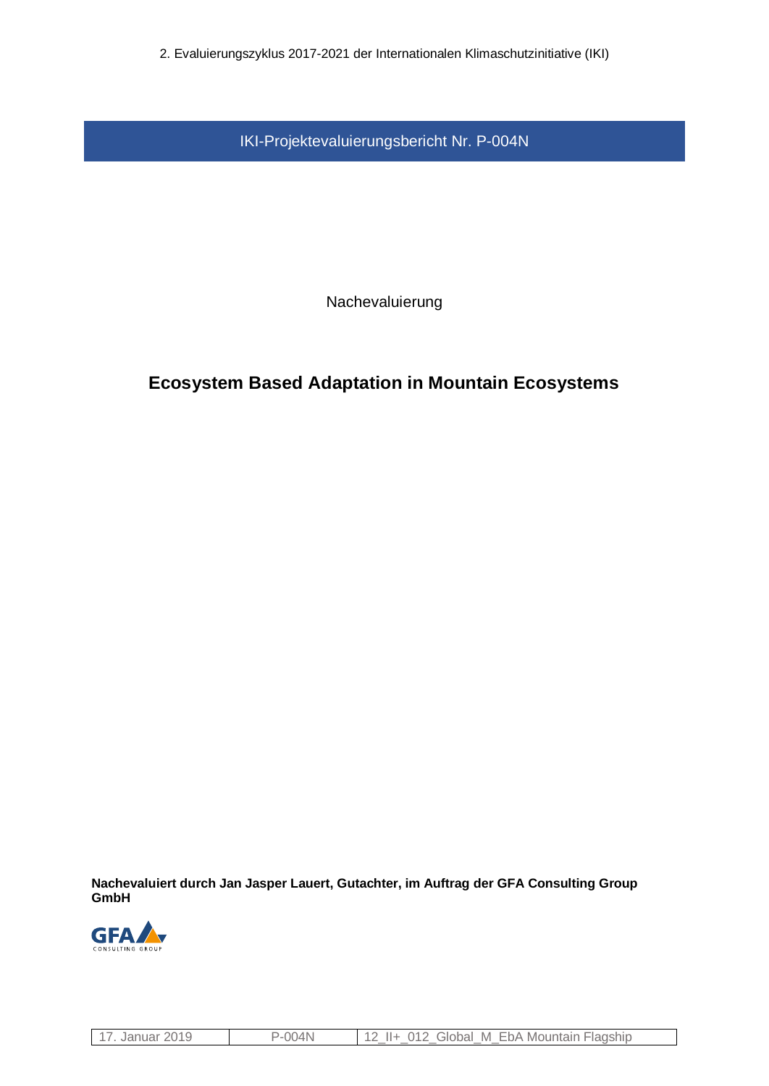2. Evaluierungszyklus 2017-2021 der Internationalen Klimaschutzinitiative (IKI)

IKI-Projektevaluierungsbericht Nr. P-004N

Nachevaluierung

# **Ecosystem Based Adaptation in Mountain Ecosystems**

**Nachevaluiert durch Jan Jasper Lauert, Gutachter, im Auftrag der GFA Consulting Group GmbH**



|--|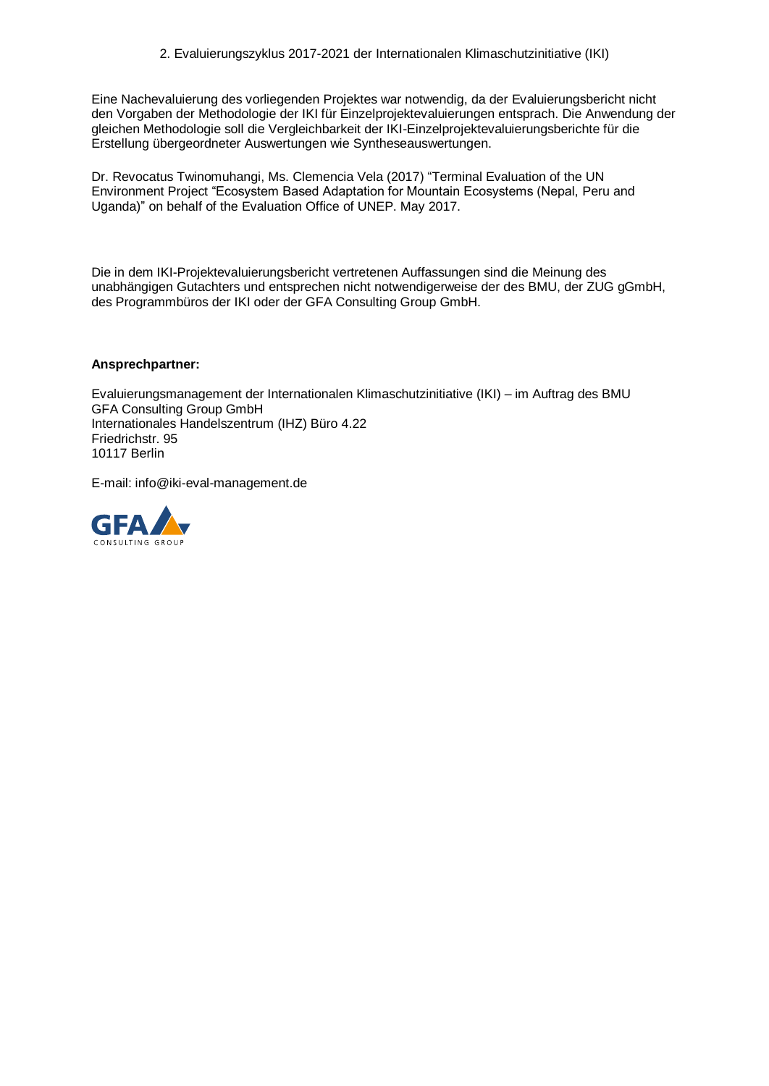Eine Nachevaluierung des vorliegenden Projektes war notwendig, da der Evaluierungsbericht nicht den Vorgaben der Methodologie der IKI für Einzelprojektevaluierungen entsprach. Die Anwendung der gleichen Methodologie soll die Vergleichbarkeit der IKI-Einzelprojektevaluierungsberichte für die Erstellung übergeordneter Auswertungen wie Syntheseauswertungen.

Dr. Revocatus Twinomuhangi, Ms. Clemencia Vela (2017) "Terminal Evaluation of the UN Environment Project "Ecosystem Based Adaptation for Mountain Ecosystems (Nepal, Peru and Uganda)" on behalf of the Evaluation Office of UNEP. May 2017.

Die in dem IKI-Projektevaluierungsbericht vertretenen Auffassungen sind die Meinung des unabhängigen Gutachters und entsprechen nicht notwendigerweise der des BMU, der ZUG gGmbH, des Programmbüros der IKI oder der GFA Consulting Group GmbH.

#### **Ansprechpartner:**

Evaluierungsmanagement der Internationalen Klimaschutzinitiative (IKI) – im Auftrag des BMU GFA Consulting Group GmbH Internationales Handelszentrum (IHZ) Büro 4.22 Friedrichstr. 95 10117 Berlin

E-mail: info@iki-eval-management.de

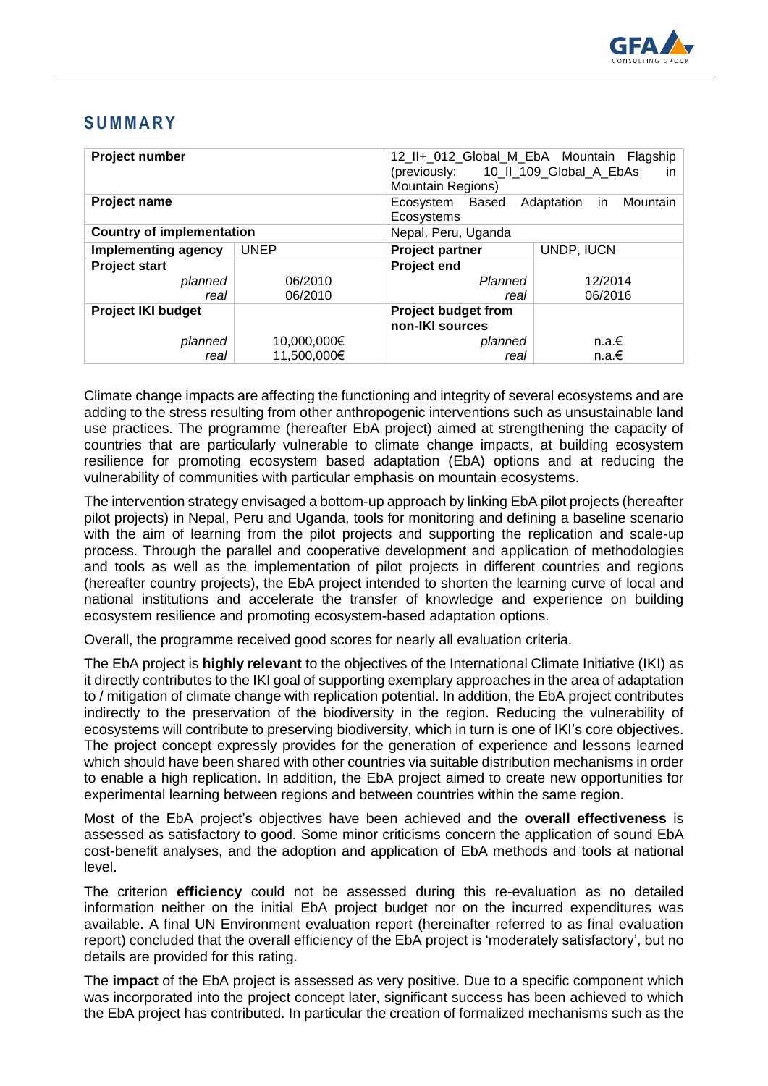

# **S U M M A R Y**

| Project number                   |             | 12_II+_012_Global_M_EbA Mountain Flagship<br>10_II_109_Global_A_EbAs<br>(previously:<br>in.<br><b>Mountain Regions)</b> |            |  |
|----------------------------------|-------------|-------------------------------------------------------------------------------------------------------------------------|------------|--|
| <b>Project name</b>              |             | Mountain<br>Ecosystem<br>Based<br>Adaptation<br>in.<br>Ecosystems                                                       |            |  |
| <b>Country of implementation</b> |             | Nepal, Peru, Uganda                                                                                                     |            |  |
| Implementing agency              | <b>UNEP</b> | <b>Project partner</b>                                                                                                  | UNDP, IUCN |  |
| <b>Project start</b>             |             | <b>Project end</b>                                                                                                      |            |  |
| planned                          | 06/2010     | Planned                                                                                                                 | 12/2014    |  |
| real                             | 06/2010     | real                                                                                                                    | 06/2016    |  |
| <b>Project IKI budget</b>        |             | <b>Project budget from</b><br>non-IKI sources                                                                           |            |  |
| planned                          | 10,000,000€ | planned                                                                                                                 | $n.a. \in$ |  |
| real                             | 11,500,000€ | real                                                                                                                    | $n.a. \in$ |  |

Climate change impacts are affecting the functioning and integrity of several ecosystems and are adding to the stress resulting from other anthropogenic interventions such as unsustainable land use practices. The programme (hereafter EbA project) aimed at strengthening the capacity of countries that are particularly vulnerable to climate change impacts, at building ecosystem resilience for promoting ecosystem based adaptation (EbA) options and at reducing the vulnerability of communities with particular emphasis on mountain ecosystems.

The intervention strategy envisaged a bottom-up approach by linking EbA pilot projects (hereafter pilot projects) in Nepal, Peru and Uganda, tools for monitoring and defining a baseline scenario with the aim of learning from the pilot projects and supporting the replication and scale-up process. Through the parallel and cooperative development and application of methodologies and tools as well as the implementation of pilot projects in different countries and regions (hereafter country projects), the EbA project intended to shorten the learning curve of local and national institutions and accelerate the transfer of knowledge and experience on building ecosystem resilience and promoting ecosystem-based adaptation options.

Overall, the programme received good scores for nearly all evaluation criteria.

The EbA project is **highly relevant** to the objectives of the International Climate Initiative (IKI) as it directly contributes to the IKI goal of supporting exemplary approaches in the area of adaptation to / mitigation of climate change with replication potential. In addition, the EbA project contributes indirectly to the preservation of the biodiversity in the region. Reducing the vulnerability of ecosystems will contribute to preserving biodiversity, which in turn is one of IKI's core objectives. The project concept expressly provides for the generation of experience and lessons learned which should have been shared with other countries via suitable distribution mechanisms in order to enable a high replication. In addition, the EbA project aimed to create new opportunities for experimental learning between regions and between countries within the same region.

Most of the EbA project's objectives have been achieved and the **overall effectiveness** is assessed as satisfactory to good. Some minor criticisms concern the application of sound EbA cost-benefit analyses, and the adoption and application of EbA methods and tools at national level.

The criterion **efficiency** could not be assessed during this re-evaluation as no detailed information neither on the initial EbA project budget nor on the incurred expenditures was available. A final UN Environment evaluation report (hereinafter referred to as final evaluation report) concluded that the overall efficiency of the EbA project is 'moderately satisfactory', but no details are provided for this rating.

The **impact** of the EbA project is assessed as very positive. Due to a specific component which was incorporated into the project concept later, significant success has been achieved to which the EbA project has contributed. In particular the creation of formalized mechanisms such as the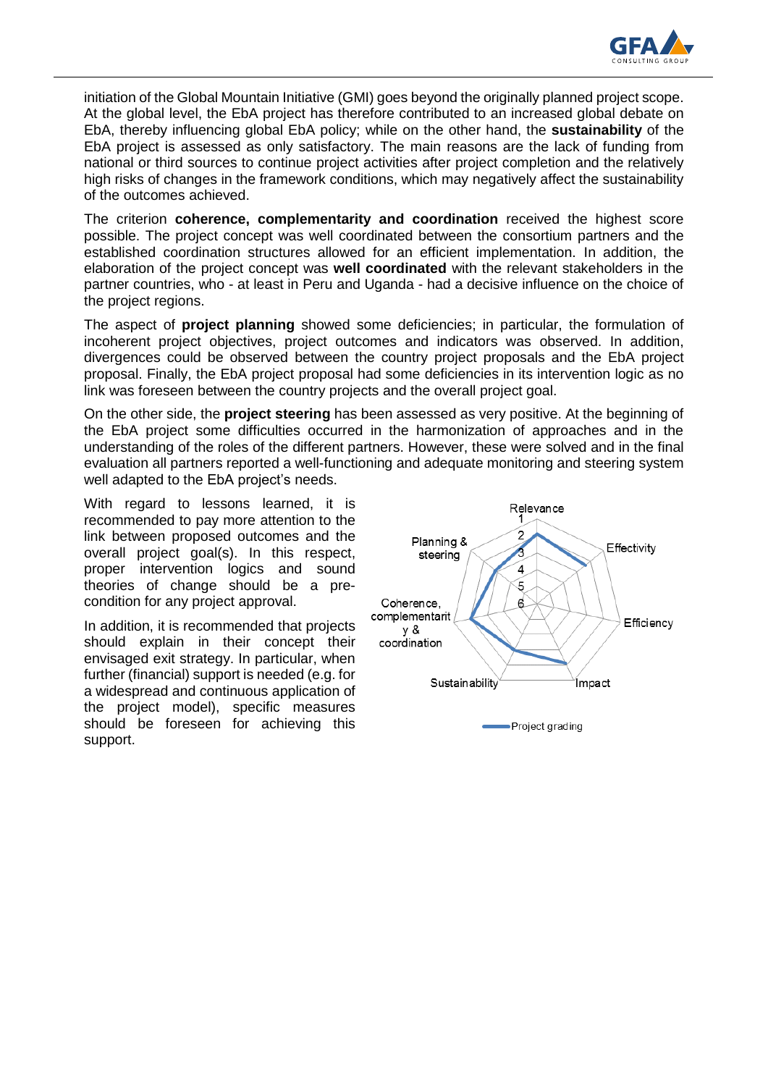

initiation of the Global Mountain Initiative (GMI) goes beyond the originally planned project scope. At the global level, the EbA project has therefore contributed to an increased global debate on EbA, thereby influencing global EbA policy; while on the other hand, the **sustainability** of the EbA project is assessed as only satisfactory. The main reasons are the lack of funding from national or third sources to continue project activities after project completion and the relatively high risks of changes in the framework conditions, which may negatively affect the sustainability of the outcomes achieved.

The criterion **coherence, complementarity and coordination** received the highest score possible. The project concept was well coordinated between the consortium partners and the established coordination structures allowed for an efficient implementation. In addition, the elaboration of the project concept was **well coordinated** with the relevant stakeholders in the partner countries, who - at least in Peru and Uganda - had a decisive influence on the choice of the project regions.

The aspect of **project planning** showed some deficiencies; in particular, the formulation of incoherent project objectives, project outcomes and indicators was observed. In addition, divergences could be observed between the country project proposals and the EbA project proposal. Finally, the EbA project proposal had some deficiencies in its intervention logic as no link was foreseen between the country projects and the overall project goal.

On the other side, the **project steering** has been assessed as very positive. At the beginning of the EbA project some difficulties occurred in the harmonization of approaches and in the understanding of the roles of the different partners. However, these were solved and in the final evaluation all partners reported a well-functioning and adequate monitoring and steering system well adapted to the EbA project's needs.

With regard to lessons learned, it is recommended to pay more attention to the link between proposed outcomes and the overall project goal(s). In this respect, proper intervention logics and sound theories of change should be a precondition for any project approval.

In addition, it is recommended that projects should explain in their concept their envisaged exit strategy. In particular, when further (financial) support is needed (e.g. for a widespread and continuous application of the project model), specific measures should be foreseen for achieving this support.

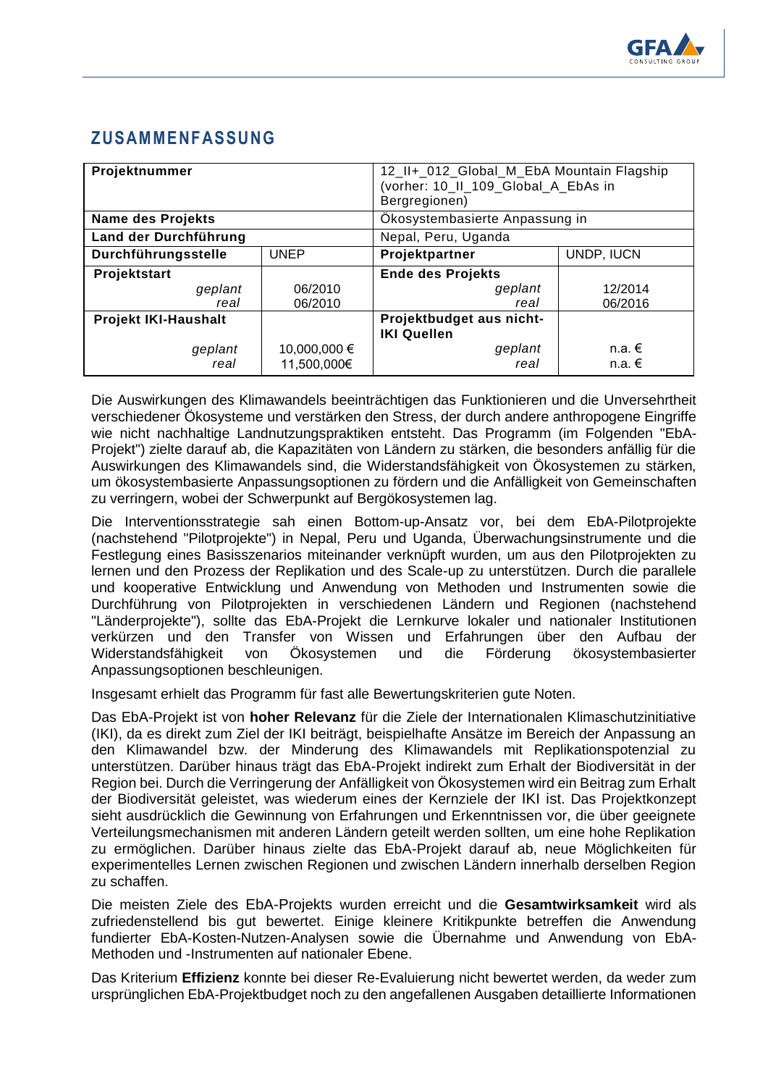

# **ZUSAMMENFASSUNG**

| Projektnummer            |                             | 12_II+_012_Global_M_EbA Mountain Flagship<br>(vorher: 10_II_109_Global_A_EbAs in<br>Bergregionen) |                        |
|--------------------------|-----------------------------|---------------------------------------------------------------------------------------------------|------------------------|
| <b>Name des Projekts</b> |                             | Ökosystembasierte Anpassung in                                                                    |                        |
| Land der Durchführung    |                             | Nepal, Peru, Uganda                                                                               |                        |
| Durchführungsstelle      | <b>UNEP</b>                 | Projektpartner                                                                                    | UNDP, IUCN             |
| Projektstart             |                             | <b>Ende des Projekts</b>                                                                          |                        |
| geplant                  | 06/2010                     | geplant                                                                                           | 12/2014                |
| real                     | 06/2010                     | real                                                                                              | 06/2016                |
| Projekt IKI-Haushalt     |                             | Projektbudget aus nicht-<br><b>IKI Quellen</b>                                                    |                        |
| geplant<br>real          | 10,000,000 €<br>11,500,000€ | geplant<br>real                                                                                   | n.a. $€$<br>$n.a. \in$ |

Die Auswirkungen des Klimawandels beeinträchtigen das Funktionieren und die Unversehrtheit verschiedener Ökosysteme und verstärken den Stress, der durch andere anthropogene Eingriffe wie nicht nachhaltige Landnutzungspraktiken entsteht. Das Programm (im Folgenden "EbA-Projekt") zielte darauf ab, die Kapazitäten von Ländern zu stärken, die besonders anfällig für die Auswirkungen des Klimawandels sind, die Widerstandsfähigkeit von Ökosystemen zu stärken, um ökosystembasierte Anpassungsoptionen zu fördern und die Anfälligkeit von Gemeinschaften zu verringern, wobei der Schwerpunkt auf Bergökosystemen lag.

Die Interventionsstrategie sah einen Bottom-up-Ansatz vor, bei dem EbA-Pilotprojekte (nachstehend "Pilotprojekte") in Nepal, Peru und Uganda, Überwachungsinstrumente und die Festlegung eines Basisszenarios miteinander verknüpft wurden, um aus den Pilotprojekten zu lernen und den Prozess der Replikation und des Scale-up zu unterstützen. Durch die parallele und kooperative Entwicklung und Anwendung von Methoden und Instrumenten sowie die Durchführung von Pilotprojekten in verschiedenen Ländern und Regionen (nachstehend "Länderprojekte"), sollte das EbA-Projekt die Lernkurve lokaler und nationaler Institutionen verkürzen und den Transfer von Wissen und Erfahrungen über den Aufbau der Widerstandsfähigkeit von Ökosystemen und die Förderung ökosystembasierter Anpassungsoptionen beschleunigen.

Insgesamt erhielt das Programm für fast alle Bewertungskriterien gute Noten.

Das EbA-Projekt ist von **hoher Relevanz** für die Ziele der Internationalen Klimaschutzinitiative (IKI), da es direkt zum Ziel der IKI beiträgt, beispielhafte Ansätze im Bereich der Anpassung an den Klimawandel bzw. der Minderung des Klimawandels mit Replikationspotenzial zu unterstützen. Darüber hinaus trägt das EbA-Projekt indirekt zum Erhalt der Biodiversität in der Region bei. Durch die Verringerung der Anfälligkeit von Ökosystemen wird ein Beitrag zum Erhalt der Biodiversität geleistet, was wiederum eines der Kernziele der IKI ist. Das Projektkonzept sieht ausdrücklich die Gewinnung von Erfahrungen und Erkenntnissen vor, die über geeignete Verteilungsmechanismen mit anderen Ländern geteilt werden sollten, um eine hohe Replikation zu ermöglichen. Darüber hinaus zielte das EbA-Projekt darauf ab, neue Möglichkeiten für experimentelles Lernen zwischen Regionen und zwischen Ländern innerhalb derselben Region zu schaffen.

Die meisten Ziele des EbA-Projekts wurden erreicht und die **Gesamtwirksamkeit** wird als zufriedenstellend bis gut bewertet. Einige kleinere Kritikpunkte betreffen die Anwendung fundierter EbA-Kosten-Nutzen-Analysen sowie die Übernahme und Anwendung von EbA-Methoden und -Instrumenten auf nationaler Ebene.

Das Kriterium **Effizienz** konnte bei dieser Re-Evaluierung nicht bewertet werden, da weder zum ursprünglichen EbA-Projektbudget noch zu den angefallenen Ausgaben detaillierte Informationen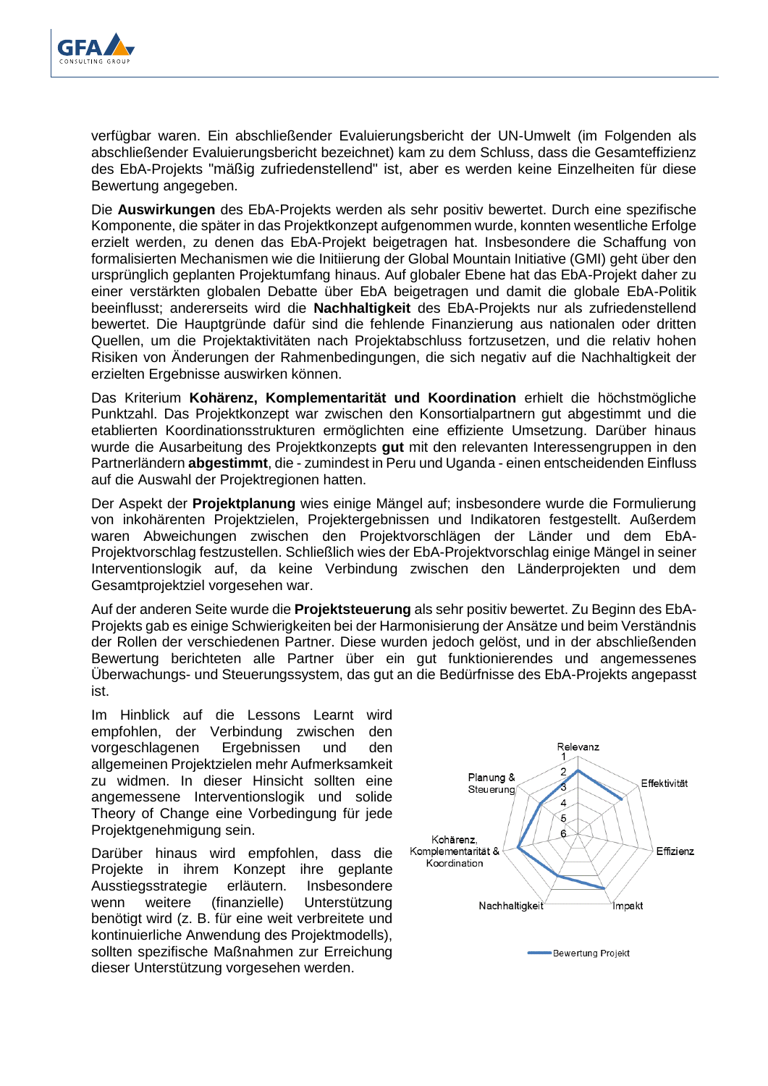

verfügbar waren. Ein abschließender Evaluierungsbericht der UN-Umwelt (im Folgenden als abschließender Evaluierungsbericht bezeichnet) kam zu dem Schluss, dass die Gesamteffizienz des EbA-Projekts "mäßig zufriedenstellend" ist, aber es werden keine Einzelheiten für diese Bewertung angegeben.

Die **Auswirkungen** des EbA-Projekts werden als sehr positiv bewertet. Durch eine spezifische Komponente, die später in das Projektkonzept aufgenommen wurde, konnten wesentliche Erfolge erzielt werden, zu denen das EbA-Projekt beigetragen hat. Insbesondere die Schaffung von formalisierten Mechanismen wie die Initiierung der Global Mountain Initiative (GMI) geht über den ursprünglich geplanten Projektumfang hinaus. Auf globaler Ebene hat das EbA-Projekt daher zu einer verstärkten globalen Debatte über EbA beigetragen und damit die globale EbA-Politik beeinflusst; andererseits wird die **Nachhaltigkeit** des EbA-Projekts nur als zufriedenstellend bewertet. Die Hauptgründe dafür sind die fehlende Finanzierung aus nationalen oder dritten Quellen, um die Projektaktivitäten nach Projektabschluss fortzusetzen, und die relativ hohen Risiken von Änderungen der Rahmenbedingungen, die sich negativ auf die Nachhaltigkeit der erzielten Ergebnisse auswirken können.

Das Kriterium **Kohärenz, Komplementarität und Koordination** erhielt die höchstmögliche Punktzahl. Das Projektkonzept war zwischen den Konsortialpartnern gut abgestimmt und die etablierten Koordinationsstrukturen ermöglichten eine effiziente Umsetzung. Darüber hinaus wurde die Ausarbeitung des Projektkonzepts **gut** mit den relevanten Interessengruppen in den Partnerländern **abgestimmt**, die - zumindest in Peru und Uganda - einen entscheidenden Einfluss auf die Auswahl der Projektregionen hatten.

Der Aspekt der **Projektplanung** wies einige Mängel auf; insbesondere wurde die Formulierung von inkohärenten Projektzielen, Projektergebnissen und Indikatoren festgestellt. Außerdem waren Abweichungen zwischen den Projektvorschlägen der Länder und dem EbA-Projektvorschlag festzustellen. Schließlich wies der EbA-Projektvorschlag einige Mängel in seiner Interventionslogik auf, da keine Verbindung zwischen den Länderprojekten und dem Gesamtprojektziel vorgesehen war.

Auf der anderen Seite wurde die **Projektsteuerung** als sehr positiv bewertet. Zu Beginn des EbA-Projekts gab es einige Schwierigkeiten bei der Harmonisierung der Ansätze und beim Verständnis der Rollen der verschiedenen Partner. Diese wurden jedoch gelöst, und in der abschließenden Bewertung berichteten alle Partner über ein gut funktionierendes und angemessenes Überwachungs- und Steuerungssystem, das gut an die Bedürfnisse des EbA-Projekts angepasst ist.

Im Hinblick auf die Lessons Learnt wird empfohlen, der Verbindung zwischen den vorgeschlagenen Ergebnissen und den allgemeinen Projektzielen mehr Aufmerksamkeit zu widmen. In dieser Hinsicht sollten eine angemessene Interventionslogik und solide Theory of Change eine Vorbedingung für jede Projektgenehmigung sein.

Darüber hinaus wird empfohlen, dass die Projekte in ihrem Konzept ihre geplante Ausstiegsstrategie erläutern. Insbesondere wenn weitere (finanzielle) Unterstützung benötigt wird (z. B. für eine weit verbreitete und kontinuierliche Anwendung des Projektmodells), sollten spezifische Maßnahmen zur Erreichung dieser Unterstützung vorgesehen werden.

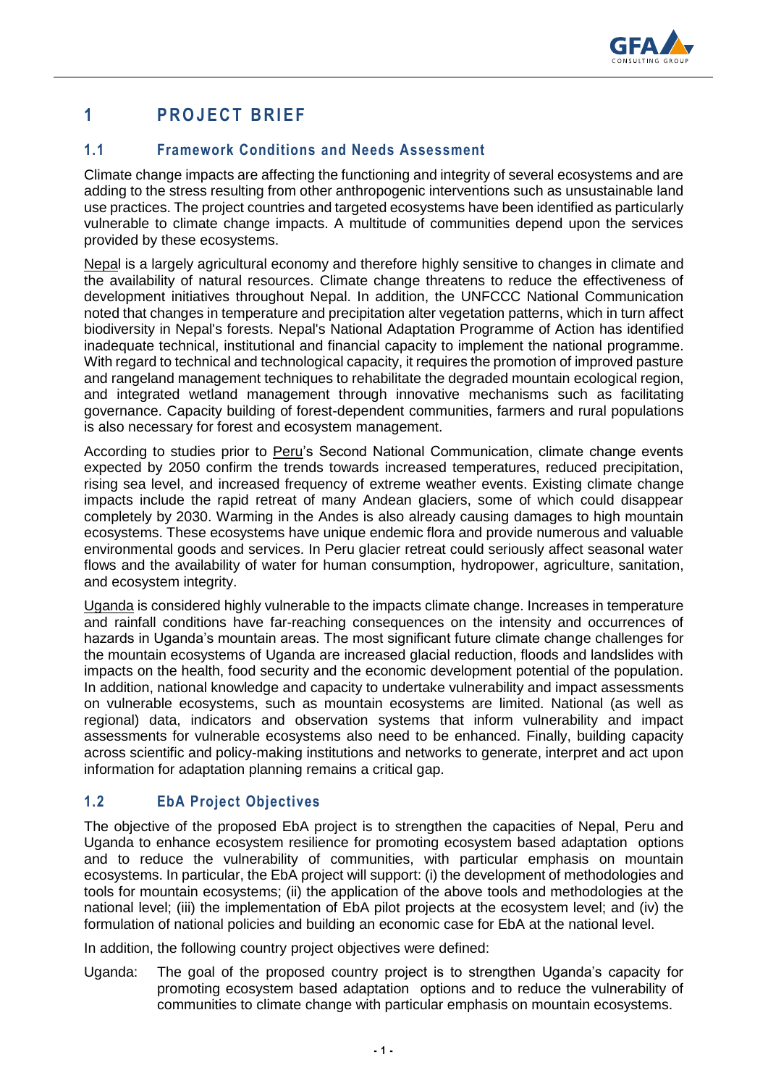

# **1 P R O J E C T B R I E F**

## **1.1 Framework Conditions and Needs Assessment**

Climate change impacts are affecting the functioning and integrity of several ecosystems and are adding to the stress resulting from other anthropogenic interventions such as unsustainable land use practices. The project countries and targeted ecosystems have been identified as particularly vulnerable to climate change impacts. A multitude of communities depend upon the services provided by these ecosystems.

Nepal is a largely agricultural economy and therefore highly sensitive to changes in climate and the availability of natural resources. Climate change threatens to reduce the effectiveness of development initiatives throughout Nepal. In addition, the UNFCCC National Communication noted that changes in temperature and precipitation alter vegetation patterns, which in turn affect biodiversity in Nepal's forests. Nepal's National Adaptation Programme of Action has identified inadequate technical, institutional and financial capacity to implement the national programme. With regard to technical and technological capacity, it requires the promotion of improved pasture and rangeland management techniques to rehabilitate the degraded mountain ecological region, and integrated wetland management through innovative mechanisms such as facilitating governance. Capacity building of forest-dependent communities, farmers and rural populations is also necessary for forest and ecosystem management.

According to studies prior to Peru's Second National Communication, climate change events expected by 2050 confirm the trends towards increased temperatures, reduced precipitation, rising sea level, and increased frequency of extreme weather events. Existing climate change impacts include the rapid retreat of many Andean glaciers, some of which could disappear completely by 2030. Warming in the Andes is also already causing damages to high mountain ecosystems. These ecosystems have unique endemic flora and provide numerous and valuable environmental goods and services. In Peru glacier retreat could seriously affect seasonal water flows and the availability of water for human consumption, hydropower, agriculture, sanitation, and ecosystem integrity.

Uganda is considered highly vulnerable to the impacts climate change. Increases in temperature and rainfall conditions have far-reaching consequences on the intensity and occurrences of hazards in Uganda's mountain areas. The most significant future climate change challenges for the mountain ecosystems of Uganda are increased glacial reduction, floods and landslides with impacts on the health, food security and the economic development potential of the population. In addition, national knowledge and capacity to undertake vulnerability and impact assessments on vulnerable ecosystems, such as mountain ecosystems are limited. National (as well as regional) data, indicators and observation systems that inform vulnerability and impact assessments for vulnerable ecosystems also need to be enhanced. Finally, building capacity across scientific and policy-making institutions and networks to generate, interpret and act upon information for adaptation planning remains a critical gap.

# **1.2 EbA Project Objectives**

The objective of the proposed EbA project is to strengthen the capacities of Nepal, Peru and Uganda to enhance ecosystem resilience for promoting ecosystem based adaptation options and to reduce the vulnerability of communities, with particular emphasis on mountain ecosystems. In particular, the EbA project will support: (i) the development of methodologies and tools for mountain ecosystems; (ii) the application of the above tools and methodologies at the national level; (iii) the implementation of EbA pilot projects at the ecosystem level; and (iv) the formulation of national policies and building an economic case for EbA at the national level.

In addition, the following country project objectives were defined:

Uganda: The goal of the proposed country project is to strengthen Uganda's capacity for promoting ecosystem based adaptation options and to reduce the vulnerability of communities to climate change with particular emphasis on mountain ecosystems.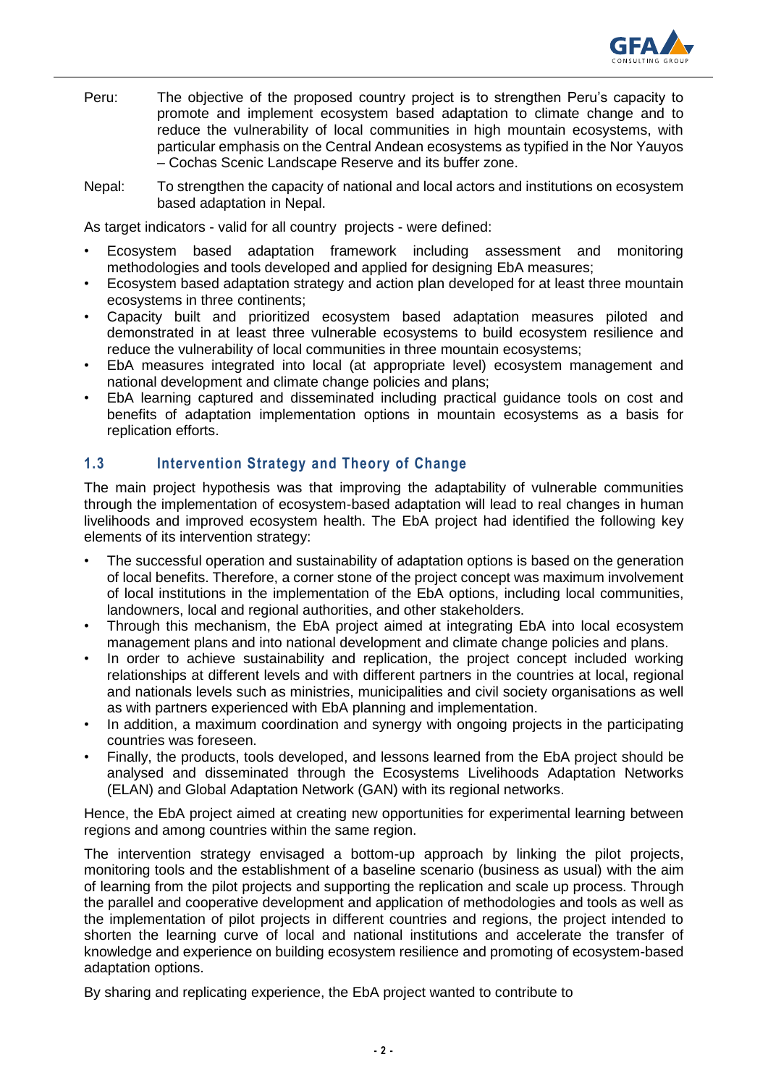

- Peru: The objective of the proposed country project is to strengthen Peru's capacity to promote and implement ecosystem based adaptation to climate change and to reduce the vulnerability of local communities in high mountain ecosystems, with particular emphasis on the Central Andean ecosystems as typified in the Nor Yauyos – Cochas Scenic Landscape Reserve and its buffer zone.
- Nepal: To strengthen the capacity of national and local actors and institutions on ecosystem based adaptation in Nepal.

As target indicators - valid for all country projects - were defined:

- Ecosystem based adaptation framework including assessment and monitoring methodologies and tools developed and applied for designing EbA measures;
- Ecosystem based adaptation strategy and action plan developed for at least three mountain ecosystems in three continents;
- Capacity built and prioritized ecosystem based adaptation measures piloted and demonstrated in at least three vulnerable ecosystems to build ecosystem resilience and reduce the vulnerability of local communities in three mountain ecosystems;
- EbA measures integrated into local (at appropriate level) ecosystem management and national development and climate change policies and plans;
- EbA learning captured and disseminated including practical guidance tools on cost and benefits of adaptation implementation options in mountain ecosystems as a basis for replication efforts.

## **1.3 Intervention Strategy and Theory of Change**

The main project hypothesis was that improving the adaptability of vulnerable communities through the implementation of ecosystem-based adaptation will lead to real changes in human livelihoods and improved ecosystem health. The EbA project had identified the following key elements of its intervention strategy:

- The successful operation and sustainability of adaptation options is based on the generation of local benefits. Therefore, a corner stone of the project concept was maximum involvement of local institutions in the implementation of the EbA options, including local communities, landowners, local and regional authorities, and other stakeholders.
- Through this mechanism, the EbA project aimed at integrating EbA into local ecosystem management plans and into national development and climate change policies and plans.
- In order to achieve sustainability and replication, the project concept included working relationships at different levels and with different partners in the countries at local, regional and nationals levels such as ministries, municipalities and civil society organisations as well as with partners experienced with EbA planning and implementation.
- In addition, a maximum coordination and synergy with ongoing projects in the participating countries was foreseen.
- Finally, the products, tools developed, and lessons learned from the EbA project should be analysed and disseminated through the Ecosystems Livelihoods Adaptation Networks (ELAN) and Global Adaptation Network (GAN) with its regional networks.

Hence, the EbA project aimed at creating new opportunities for experimental learning between regions and among countries within the same region.

The intervention strategy envisaged a bottom-up approach by linking the pilot projects, monitoring tools and the establishment of a baseline scenario (business as usual) with the aim of learning from the pilot projects and supporting the replication and scale up process. Through the parallel and cooperative development and application of methodologies and tools as well as the implementation of pilot projects in different countries and regions, the project intended to shorten the learning curve of local and national institutions and accelerate the transfer of knowledge and experience on building ecosystem resilience and promoting of ecosystem-based adaptation options.

By sharing and replicating experience, the EbA project wanted to contribute to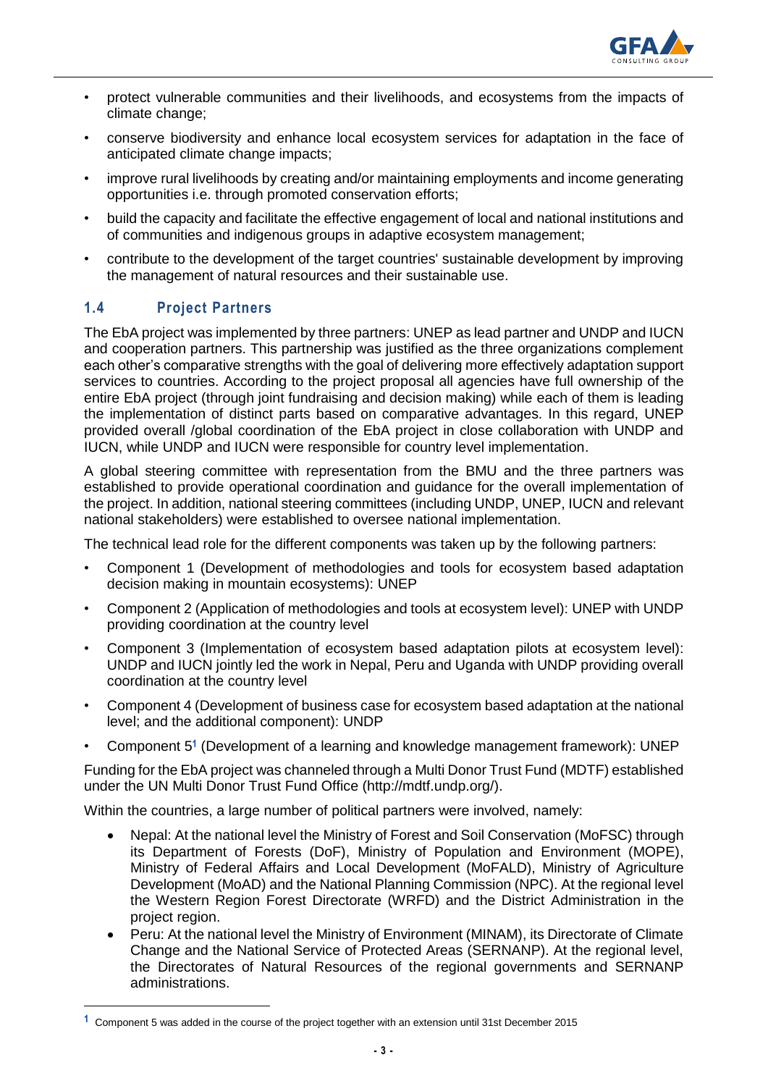

- protect vulnerable communities and their livelihoods, and ecosystems from the impacts of climate change;
- conserve biodiversity and enhance local ecosystem services for adaptation in the face of anticipated climate change impacts;
- improve rural livelihoods by creating and/or maintaining employments and income generating opportunities i.e. through promoted conservation efforts;
- build the capacity and facilitate the effective engagement of local and national institutions and of communities and indigenous groups in adaptive ecosystem management;
- contribute to the development of the target countries' sustainable development by improving the management of natural resources and their sustainable use.

## **1.4 Project Partners**

l

The EbA project was implemented by three partners: UNEP as lead partner and UNDP and IUCN and cooperation partners. This partnership was justified as the three organizations complement each other's comparative strengths with the goal of delivering more effectively adaptation support services to countries. According to the project proposal all agencies have full ownership of the entire EbA project (through joint fundraising and decision making) while each of them is leading the implementation of distinct parts based on comparative advantages. In this regard, UNEP provided overall /global coordination of the EbA project in close collaboration with UNDP and IUCN, while UNDP and IUCN were responsible for country level implementation.

A global steering committee with representation from the BMU and the three partners was established to provide operational coordination and guidance for the overall implementation of the project. In addition, national steering committees (including UNDP, UNEP, IUCN and relevant national stakeholders) were established to oversee national implementation.

The technical lead role for the different components was taken up by the following partners:

- Component 1 (Development of methodologies and tools for ecosystem based adaptation decision making in mountain ecosystems): UNEP
- Component 2 (Application of methodologies and tools at ecosystem level): UNEP with UNDP providing coordination at the country level
- Component 3 (Implementation of ecosystem based adaptation pilots at ecosystem level): UNDP and IUCN jointly led the work in Nepal, Peru and Uganda with UNDP providing overall coordination at the country level
- Component 4 (Development of business case for ecosystem based adaptation at the national level; and the additional component): UNDP
- Component 5**<sup>1</sup>** (Development of a learning and knowledge management framework): UNEP

Funding for the EbA project was channeled through a Multi Donor Trust Fund (MDTF) established under the UN Multi Donor Trust Fund Office (http://mdtf.undp.org/).

Within the countries, a large number of political partners were involved, namely:

- Nepal: At the national level the Ministry of Forest and Soil Conservation (MoFSC) through its Department of Forests (DoF), Ministry of Population and Environment (MOPE), Ministry of Federal Affairs and Local Development (MoFALD), Ministry of Agriculture Development (MoAD) and the National Planning Commission (NPC). At the regional level the Western Region Forest Directorate (WRFD) and the District Administration in the project region.
- Peru: At the national level the Ministry of Environment (MINAM), its Directorate of Climate Change and the National Service of Protected Areas (SERNANP). At the regional level, the Directorates of Natural Resources of the regional governments and SERNANP administrations.

**<sup>1</sup>** Component 5 was added in the course of the project together with an extension until 31st December 2015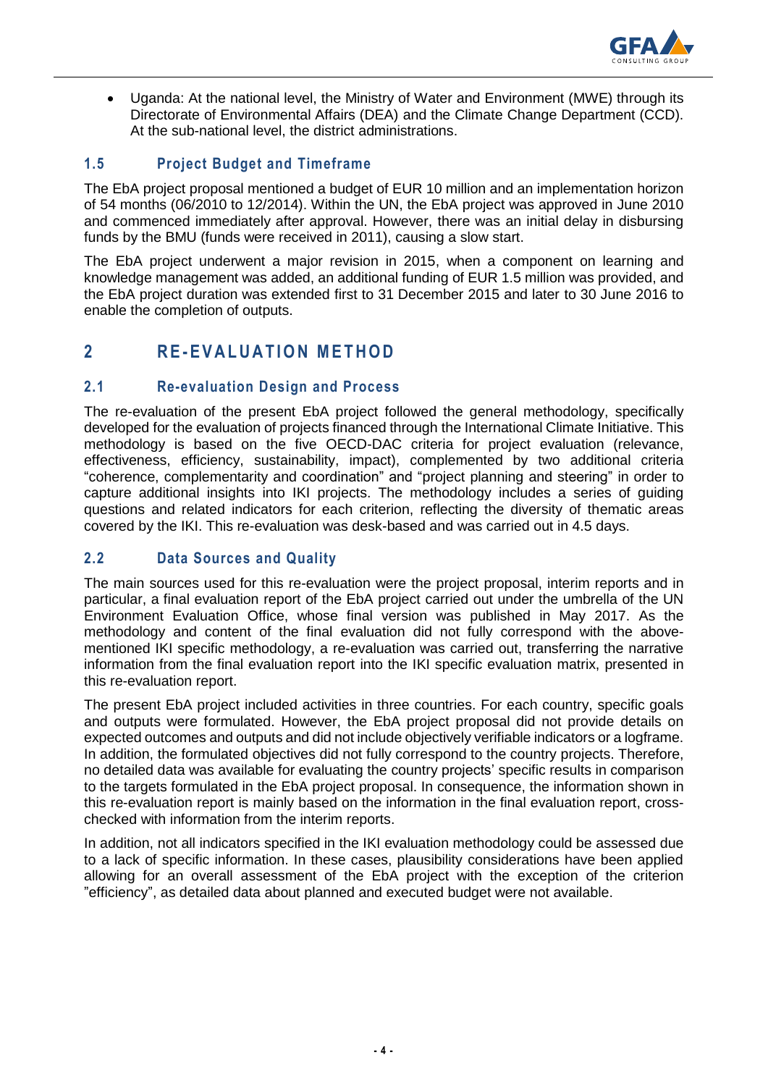

 Uganda: At the national level, the Ministry of Water and Environment (MWE) through its Directorate of Environmental Affairs (DEA) and the Climate Change Department (CCD). At the sub-national level, the district administrations.

## **1.5 Project Budget and Timeframe**

The EbA project proposal mentioned a budget of EUR 10 million and an implementation horizon of 54 months (06/2010 to 12/2014). Within the UN, the EbA project was approved in June 2010 and commenced immediately after approval. However, there was an initial delay in disbursing funds by the BMU (funds were received in 2011), causing a slow start.

The EbA project underwent a major revision in 2015, when a component on learning and knowledge management was added, an additional funding of EUR 1.5 million was provided, and the EbA project duration was extended first to 31 December 2015 and later to 30 June 2016 to enable the completion of outputs.

# **2 R E- E V A L U A T I O N M E T H O D**

### **2.1 Re-evaluation Design and Process**

The re-evaluation of the present EbA project followed the general methodology, specifically developed for the evaluation of projects financed through the International Climate Initiative. This methodology is based on the five OECD-DAC criteria for project evaluation (relevance, effectiveness, efficiency, sustainability, impact), complemented by two additional criteria "coherence, complementarity and coordination" and "project planning and steering" in order to capture additional insights into IKI projects. The methodology includes a series of guiding questions and related indicators for each criterion, reflecting the diversity of thematic areas covered by the IKI. This re-evaluation was desk-based and was carried out in 4.5 days.

## **2.2 Data Sources and Quality**

The main sources used for this re-evaluation were the project proposal, interim reports and in particular, a final evaluation report of the EbA project carried out under the umbrella of the UN Environment Evaluation Office, whose final version was published in May 2017. As the methodology and content of the final evaluation did not fully correspond with the abovementioned IKI specific methodology, a re-evaluation was carried out, transferring the narrative information from the final evaluation report into the IKI specific evaluation matrix, presented in this re-evaluation report.

The present EbA project included activities in three countries. For each country, specific goals and outputs were formulated. However, the EbA project proposal did not provide details on expected outcomes and outputs and did not include objectively verifiable indicators or a logframe. In addition, the formulated objectives did not fully correspond to the country projects. Therefore, no detailed data was available for evaluating the country projects' specific results in comparison to the targets formulated in the EbA project proposal. In consequence, the information shown in this re-evaluation report is mainly based on the information in the final evaluation report, crosschecked with information from the interim reports.

In addition, not all indicators specified in the IKI evaluation methodology could be assessed due to a lack of specific information. In these cases, plausibility considerations have been applied allowing for an overall assessment of the EbA project with the exception of the criterion "efficiency", as detailed data about planned and executed budget were not available.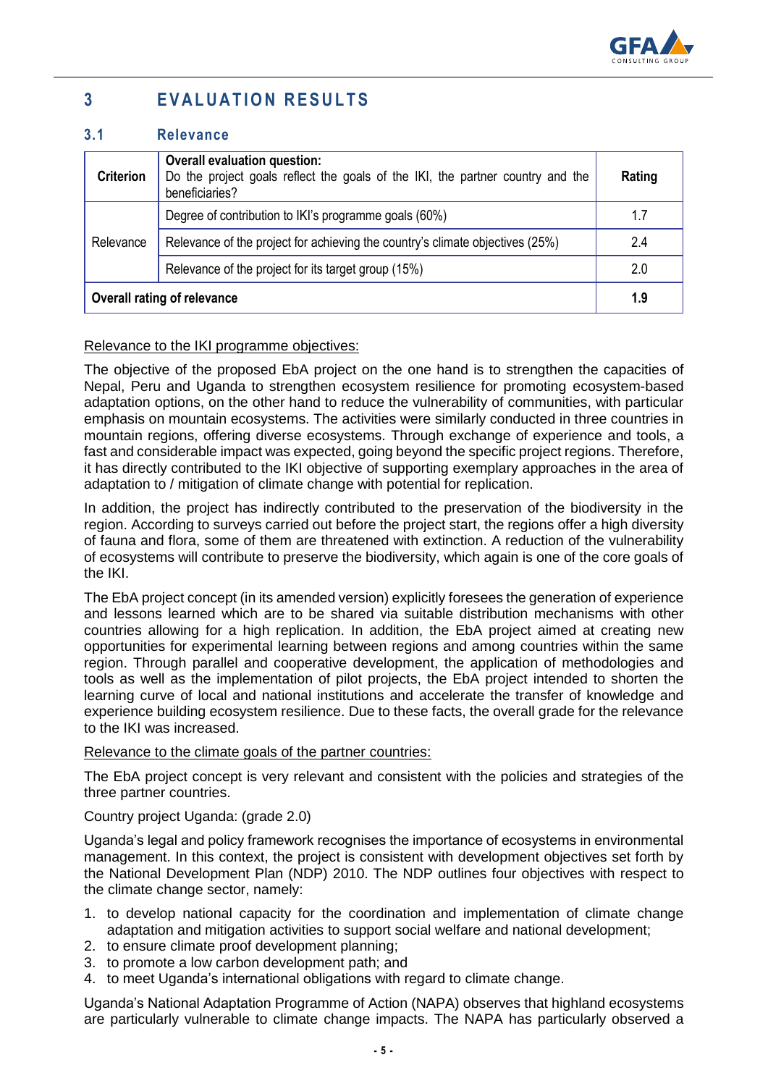

# **3 E V A L U A T I O N R E S U L T S**

### **3.1 Relevance**

| <b>Criterion</b>                   | <b>Overall evaluation question:</b><br>Do the project goals reflect the goals of the IKI, the partner country and the<br>beneficiaries? |     |
|------------------------------------|-----------------------------------------------------------------------------------------------------------------------------------------|-----|
|                                    | Degree of contribution to IKI's programme goals (60%)                                                                                   | 1.7 |
| Relevance                          | Relevance of the project for achieving the country's climate objectives (25%)                                                           | 2.4 |
|                                    | Relevance of the project for its target group (15%)                                                                                     | 2.0 |
| <b>Overall rating of relevance</b> |                                                                                                                                         | 1.9 |

### Relevance to the IKI programme objectives:

The objective of the proposed EbA project on the one hand is to strengthen the capacities of Nepal, Peru and Uganda to strengthen ecosystem resilience for promoting ecosystem-based adaptation options, on the other hand to reduce the vulnerability of communities, with particular emphasis on mountain ecosystems. The activities were similarly conducted in three countries in mountain regions, offering diverse ecosystems. Through exchange of experience and tools, a fast and considerable impact was expected, going beyond the specific project regions. Therefore, it has directly contributed to the IKI objective of supporting exemplary approaches in the area of adaptation to / mitigation of climate change with potential for replication.

In addition, the project has indirectly contributed to the preservation of the biodiversity in the region. According to surveys carried out before the project start, the regions offer a high diversity of fauna and flora, some of them are threatened with extinction. A reduction of the vulnerability of ecosystems will contribute to preserve the biodiversity, which again is one of the core goals of the IKI.

The EbA project concept (in its amended version) explicitly foresees the generation of experience and lessons learned which are to be shared via suitable distribution mechanisms with other countries allowing for a high replication. In addition, the EbA project aimed at creating new opportunities for experimental learning between regions and among countries within the same region. Through parallel and cooperative development, the application of methodologies and tools as well as the implementation of pilot projects, the EbA project intended to shorten the learning curve of local and national institutions and accelerate the transfer of knowledge and experience building ecosystem resilience. Due to these facts, the overall grade for the relevance to the IKI was increased.

### Relevance to the climate goals of the partner countries:

The EbA project concept is very relevant and consistent with the policies and strategies of the three partner countries.

### Country project Uganda: (grade 2.0)

Uganda's legal and policy framework recognises the importance of ecosystems in environmental management. In this context, the project is consistent with development objectives set forth by the National Development Plan (NDP) 2010. The NDP outlines four objectives with respect to the climate change sector, namely:

- 1. to develop national capacity for the coordination and implementation of climate change adaptation and mitigation activities to support social welfare and national development;
- 2. to ensure climate proof development planning;
- 3. to promote a low carbon development path; and
- 4. to meet Uganda's international obligations with regard to climate change.

Uganda's National Adaptation Programme of Action (NAPA) observes that highland ecosystems are particularly vulnerable to climate change impacts. The NAPA has particularly observed a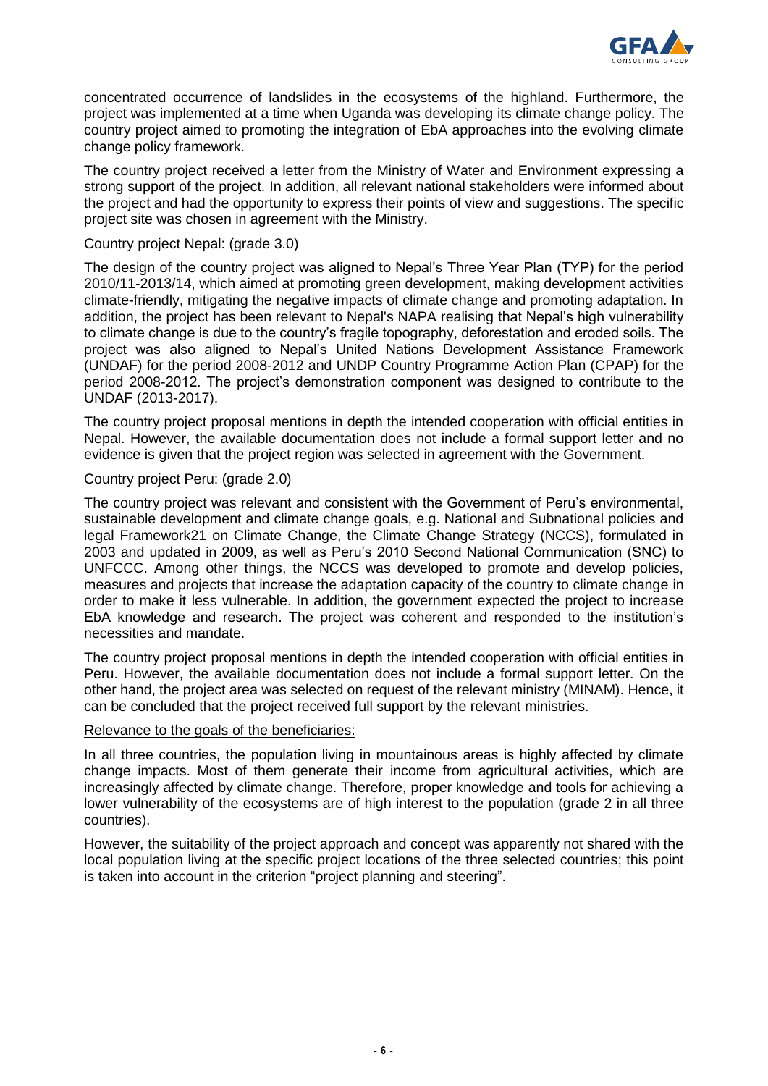

concentrated occurrence of landslides in the ecosystems of the highland. Furthermore, the project was implemented at a time when Uganda was developing its climate change policy. The country project aimed to promoting the integration of EbA approaches into the evolving climate change policy framework.

The country project received a letter from the Ministry of Water and Environment expressing a strong support of the project. In addition, all relevant national stakeholders were informed about the project and had the opportunity to express their points of view and suggestions. The specific project site was chosen in agreement with the Ministry.

#### Country project Nepal: (grade 3.0)

The design of the country project was aligned to Nepal's Three Year Plan (TYP) for the period 2010/11-2013/14, which aimed at promoting green development, making development activities climate-friendly, mitigating the negative impacts of climate change and promoting adaptation. In addition, the project has been relevant to Nepal's NAPA realising that Nepal's high vulnerability to climate change is due to the country's fragile topography, deforestation and eroded soils. The project was also aligned to Nepal's United Nations Development Assistance Framework (UNDAF) for the period 2008-2012 and UNDP Country Programme Action Plan (CPAP) for the period 2008-2012. The project's demonstration component was designed to contribute to the UNDAF (2013-2017).

The country project proposal mentions in depth the intended cooperation with official entities in Nepal. However, the available documentation does not include a formal support letter and no evidence is given that the project region was selected in agreement with the Government.

#### Country project Peru: (grade 2.0)

The country project was relevant and consistent with the Government of Peru's environmental, sustainable development and climate change goals, e.g. National and Subnational policies and legal Framework21 on Climate Change, the Climate Change Strategy (NCCS), formulated in 2003 and updated in 2009, as well as Peru's 2010 Second National Communication (SNC) to UNFCCC. Among other things, the NCCS was developed to promote and develop policies, measures and projects that increase the adaptation capacity of the country to climate change in order to make it less vulnerable. In addition, the government expected the project to increase EbA knowledge and research. The project was coherent and responded to the institution's necessities and mandate.

The country project proposal mentions in depth the intended cooperation with official entities in Peru. However, the available documentation does not include a formal support letter. On the other hand, the project area was selected on request of the relevant ministry (MINAM). Hence, it can be concluded that the project received full support by the relevant ministries.

#### Relevance to the goals of the beneficiaries:

In all three countries, the population living in mountainous areas is highly affected by climate change impacts. Most of them generate their income from agricultural activities, which are increasingly affected by climate change. Therefore, proper knowledge and tools for achieving a lower vulnerability of the ecosystems are of high interest to the population (grade 2 in all three countries).

However, the suitability of the project approach and concept was apparently not shared with the local population living at the specific project locations of the three selected countries; this point is taken into account in the criterion "project planning and steering".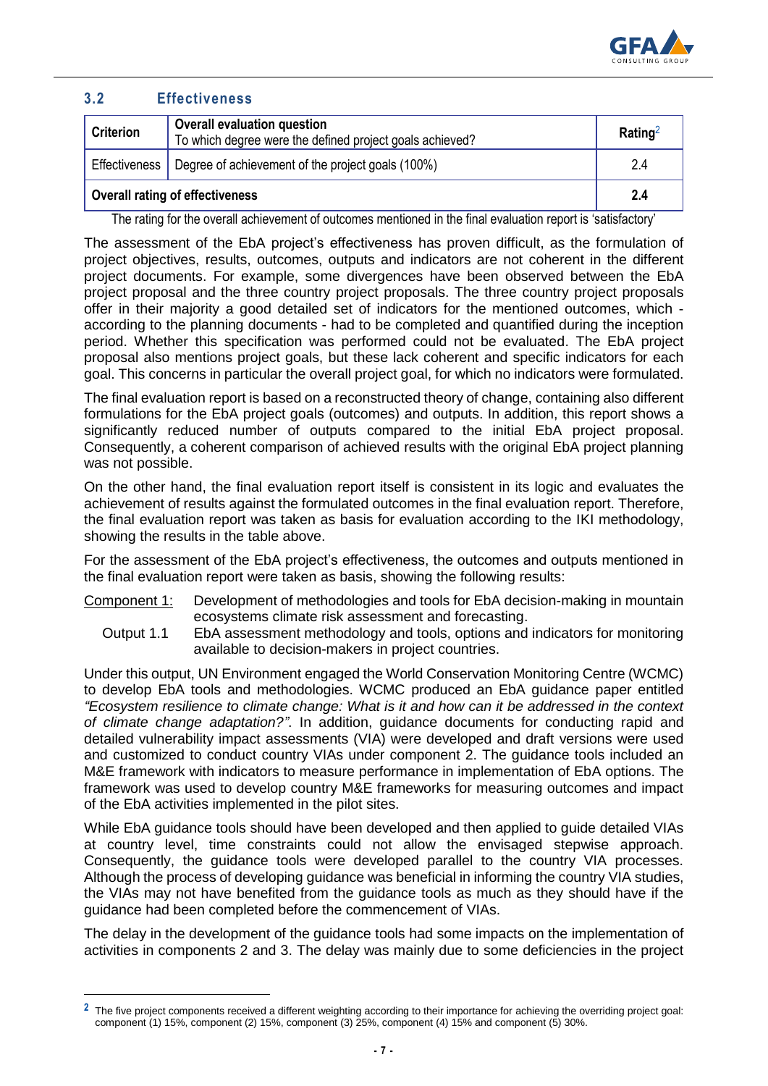

### **3.2 Effectiveness**

l

| <b>Criterion</b>                             | <b>Overall evaluation question</b><br>To which degree were the defined project goals achieved? | Rating <sup>2</sup> |
|----------------------------------------------|------------------------------------------------------------------------------------------------|---------------------|
| Effectiveness                                | Degree of achievement of the project goals (100%)                                              | 2.4                 |
| <sup>1</sup> Overall rating of effectiveness |                                                                                                | 2.4                 |

The rating for the overall achievement of outcomes mentioned in the final evaluation report is 'satisfactory'

The assessment of the EbA project's effectiveness has proven difficult, as the formulation of project objectives, results, outcomes, outputs and indicators are not coherent in the different project documents. For example, some divergences have been observed between the EbA project proposal and the three country project proposals. The three country project proposals offer in their majority a good detailed set of indicators for the mentioned outcomes, which according to the planning documents - had to be completed and quantified during the inception period. Whether this specification was performed could not be evaluated. The EbA project proposal also mentions project goals, but these lack coherent and specific indicators for each goal. This concerns in particular the overall project goal, for which no indicators were formulated.

The final evaluation report is based on a reconstructed theory of change, containing also different formulations for the EbA project goals (outcomes) and outputs. In addition, this report shows a significantly reduced number of outputs compared to the initial EbA project proposal. Consequently, a coherent comparison of achieved results with the original EbA project planning was not possible.

On the other hand, the final evaluation report itself is consistent in its logic and evaluates the achievement of results against the formulated outcomes in the final evaluation report. Therefore, the final evaluation report was taken as basis for evaluation according to the IKI methodology, showing the results in the table above.

For the assessment of the EbA project's effectiveness, the outcomes and outputs mentioned in the final evaluation report were taken as basis, showing the following results:

- Component 1: Development of methodologies and tools for EbA decision-making in mountain ecosystems climate risk assessment and forecasting.
	- Output 1.1 EbA assessment methodology and tools, options and indicators for monitoring available to decision-makers in project countries.

Under this output, UN Environment engaged the World Conservation Monitoring Centre (WCMC) to develop EbA tools and methodologies. WCMC produced an EbA guidance paper entitled *"Ecosystem resilience to climate change: What is it and how can it be addressed in the context of climate change adaptation?"*. In addition, guidance documents for conducting rapid and detailed vulnerability impact assessments (VIA) were developed and draft versions were used and customized to conduct country VIAs under component 2. The guidance tools included an M&E framework with indicators to measure performance in implementation of EbA options. The framework was used to develop country M&E frameworks for measuring outcomes and impact of the EbA activities implemented in the pilot sites.

While EbA guidance tools should have been developed and then applied to guide detailed VIAs at country level, time constraints could not allow the envisaged stepwise approach. Consequently, the guidance tools were developed parallel to the country VIA processes. Although the process of developing guidance was beneficial in informing the country VIA studies, the VIAs may not have benefited from the guidance tools as much as they should have if the guidance had been completed before the commencement of VIAs.

The delay in the development of the guidance tools had some impacts on the implementation of activities in components 2 and 3. The delay was mainly due to some deficiencies in the project

<sup>&</sup>lt;sup>2</sup> The five project components received a different weighting according to their importance for achieving the overriding project goal: component (1) 15%, component (2) 15%, component (3) 25%, component (4) 15% and component (5) 30%.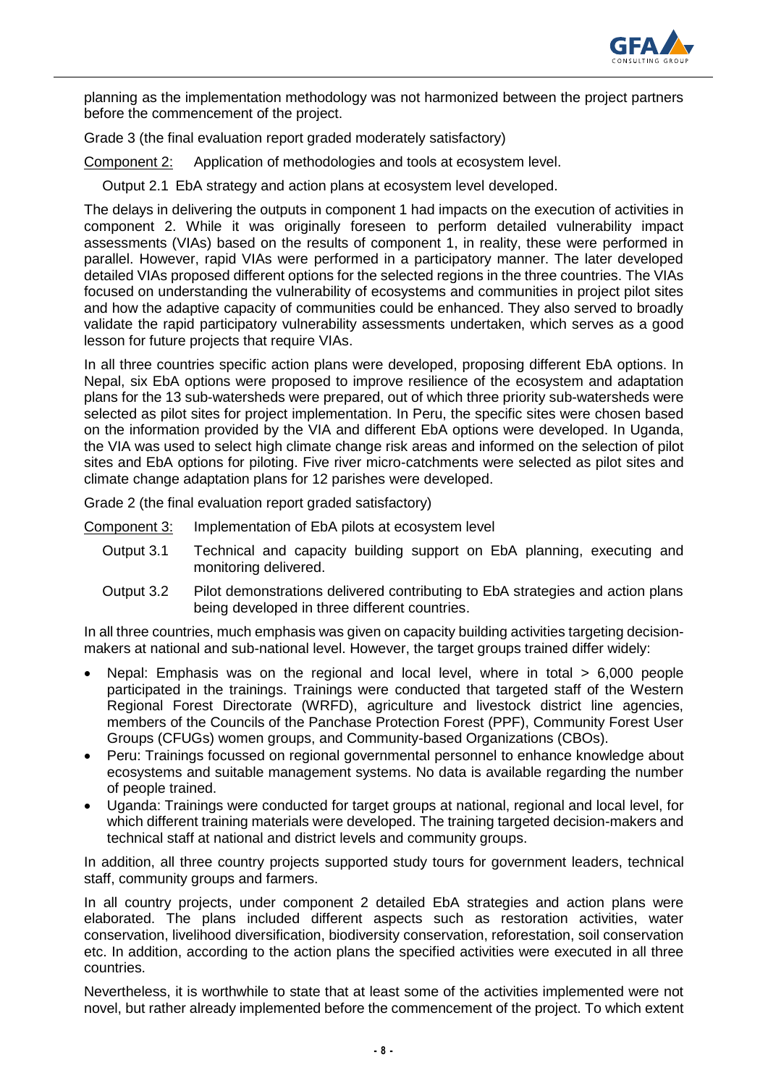

planning as the implementation methodology was not harmonized between the project partners before the commencement of the project.

Grade 3 (the final evaluation report graded moderately satisfactory)

Component 2: Application of methodologies and tools at ecosystem level.

Output 2.1 EbA strategy and action plans at ecosystem level developed.

The delays in delivering the outputs in component 1 had impacts on the execution of activities in component 2. While it was originally foreseen to perform detailed vulnerability impact assessments (VIAs) based on the results of component 1, in reality, these were performed in parallel. However, rapid VIAs were performed in a participatory manner. The later developed detailed VIAs proposed different options for the selected regions in the three countries. The VIAs focused on understanding the vulnerability of ecosystems and communities in project pilot sites and how the adaptive capacity of communities could be enhanced. They also served to broadly validate the rapid participatory vulnerability assessments undertaken, which serves as a good lesson for future projects that require VIAs.

In all three countries specific action plans were developed, proposing different EbA options. In Nepal, six EbA options were proposed to improve resilience of the ecosystem and adaptation plans for the 13 sub-watersheds were prepared, out of which three priority sub-watersheds were selected as pilot sites for project implementation. In Peru, the specific sites were chosen based on the information provided by the VIA and different EbA options were developed. In Uganda, the VIA was used to select high climate change risk areas and informed on the selection of pilot sites and EbA options for piloting. Five river micro-catchments were selected as pilot sites and climate change adaptation plans for 12 parishes were developed.

Grade 2 (the final evaluation report graded satisfactory)

Component 3: Implementation of EbA pilots at ecosystem level

- Output 3.1 Technical and capacity building support on EbA planning, executing and monitoring delivered.
- Output 3.2 Pilot demonstrations delivered contributing to EbA strategies and action plans being developed in three different countries.

In all three countries, much emphasis was given on capacity building activities targeting decisionmakers at national and sub-national level. However, the target groups trained differ widely:

- Nepal: Emphasis was on the regional and local level, where in total > 6,000 people participated in the trainings. Trainings were conducted that targeted staff of the Western Regional Forest Directorate (WRFD), agriculture and livestock district line agencies, members of the Councils of the Panchase Protection Forest (PPF), Community Forest User Groups (CFUGs) women groups, and Community-based Organizations (CBOs).
- Peru: Trainings focussed on regional governmental personnel to enhance knowledge about ecosystems and suitable management systems. No data is available regarding the number of people trained.
- Uganda: Trainings were conducted for target groups at national, regional and local level, for which different training materials were developed. The training targeted decision-makers and technical staff at national and district levels and community groups.

In addition, all three country projects supported study tours for government leaders, technical staff, community groups and farmers.

In all country projects, under component 2 detailed EbA strategies and action plans were elaborated. The plans included different aspects such as restoration activities, water conservation, livelihood diversification, biodiversity conservation, reforestation, soil conservation etc. In addition, according to the action plans the specified activities were executed in all three countries.

Nevertheless, it is worthwhile to state that at least some of the activities implemented were not novel, but rather already implemented before the commencement of the project. To which extent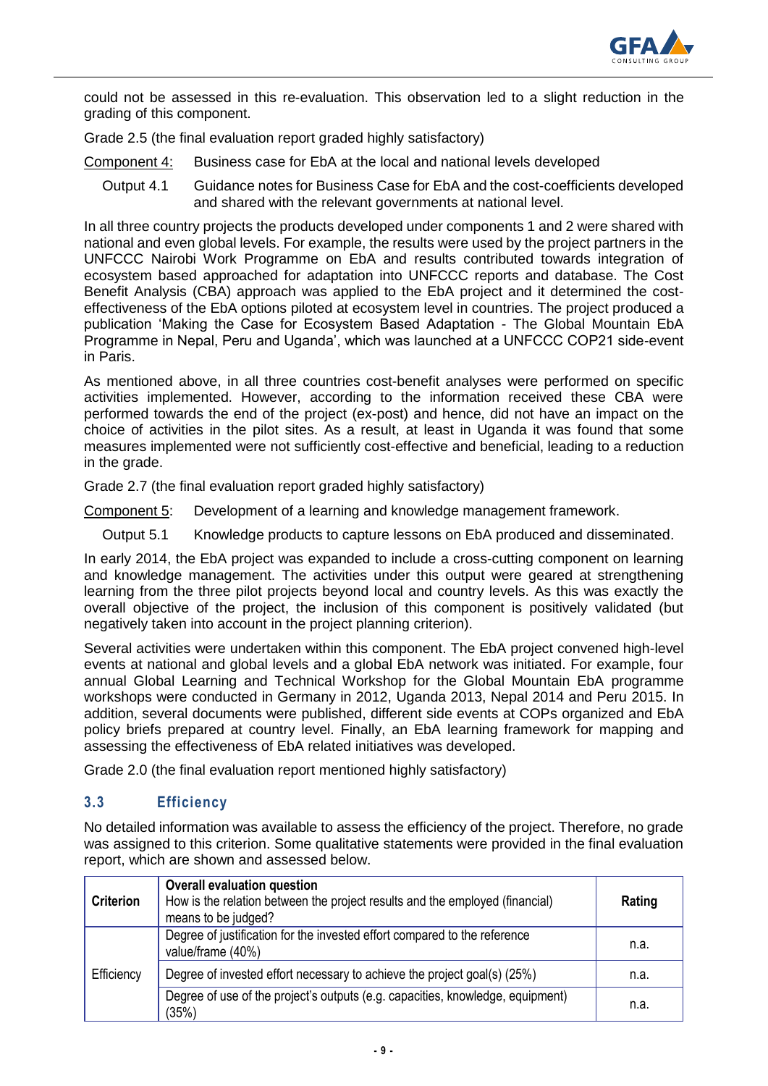

could not be assessed in this re-evaluation. This observation led to a slight reduction in the grading of this component.

Grade 2.5 (the final evaluation report graded highly satisfactory)

- Component 4: Business case for EbA at the local and national levels developed
	- Output 4.1 Guidance notes for Business Case for EbA and the cost-coefficients developed and shared with the relevant governments at national level.

In all three country projects the products developed under components 1 and 2 were shared with national and even global levels. For example, the results were used by the project partners in the UNFCCC Nairobi Work Programme on EbA and results contributed towards integration of ecosystem based approached for adaptation into UNFCCC reports and database. The Cost Benefit Analysis (CBA) approach was applied to the EbA project and it determined the costeffectiveness of the EbA options piloted at ecosystem level in countries. The project produced a publication 'Making the Case for Ecosystem Based Adaptation - The Global Mountain EbA Programme in Nepal, Peru and Uganda', which was launched at a UNFCCC COP21 side-event in Paris.

As mentioned above, in all three countries cost-benefit analyses were performed on specific activities implemented. However, according to the information received these CBA were performed towards the end of the project (ex-post) and hence, did not have an impact on the choice of activities in the pilot sites. As a result, at least in Uganda it was found that some measures implemented were not sufficiently cost-effective and beneficial, leading to a reduction in the grade.

Grade 2.7 (the final evaluation report graded highly satisfactory)

Component 5: Development of a learning and knowledge management framework.

Output 5.1 Knowledge products to capture lessons on EbA produced and disseminated.

In early 2014, the EbA project was expanded to include a cross-cutting component on learning and knowledge management. The activities under this output were geared at strengthening learning from the three pilot projects beyond local and country levels. As this was exactly the overall objective of the project, the inclusion of this component is positively validated (but negatively taken into account in the project planning criterion).

Several activities were undertaken within this component. The EbA project convened high-level events at national and global levels and a global EbA network was initiated. For example, four annual Global Learning and Technical Workshop for the Global Mountain EbA programme workshops were conducted in Germany in 2012, Uganda 2013, Nepal 2014 and Peru 2015. In addition, several documents were published, different side events at COPs organized and EbA policy briefs prepared at country level. Finally, an EbA learning framework for mapping and assessing the effectiveness of EbA related initiatives was developed.

Grade 2.0 (the final evaluation report mentioned highly satisfactory)

## **3.3 Efficiency**

No detailed information was available to assess the efficiency of the project. Therefore, no grade was assigned to this criterion. Some qualitative statements were provided in the final evaluation report, which are shown and assessed below.

| <b>Criterion</b> | <b>Overall evaluation question</b><br>How is the relation between the project results and the employed (financial)<br>means to be judged? | Rating |
|------------------|-------------------------------------------------------------------------------------------------------------------------------------------|--------|
| Efficiency       | Degree of justification for the invested effort compared to the reference<br>value/frame (40%)                                            | n.a.   |
|                  | Degree of invested effort necessary to achieve the project goal(s) (25%)                                                                  | n.a.   |
|                  | Degree of use of the project's outputs (e.g. capacities, knowledge, equipment)<br>(35%)                                                   | n.a.   |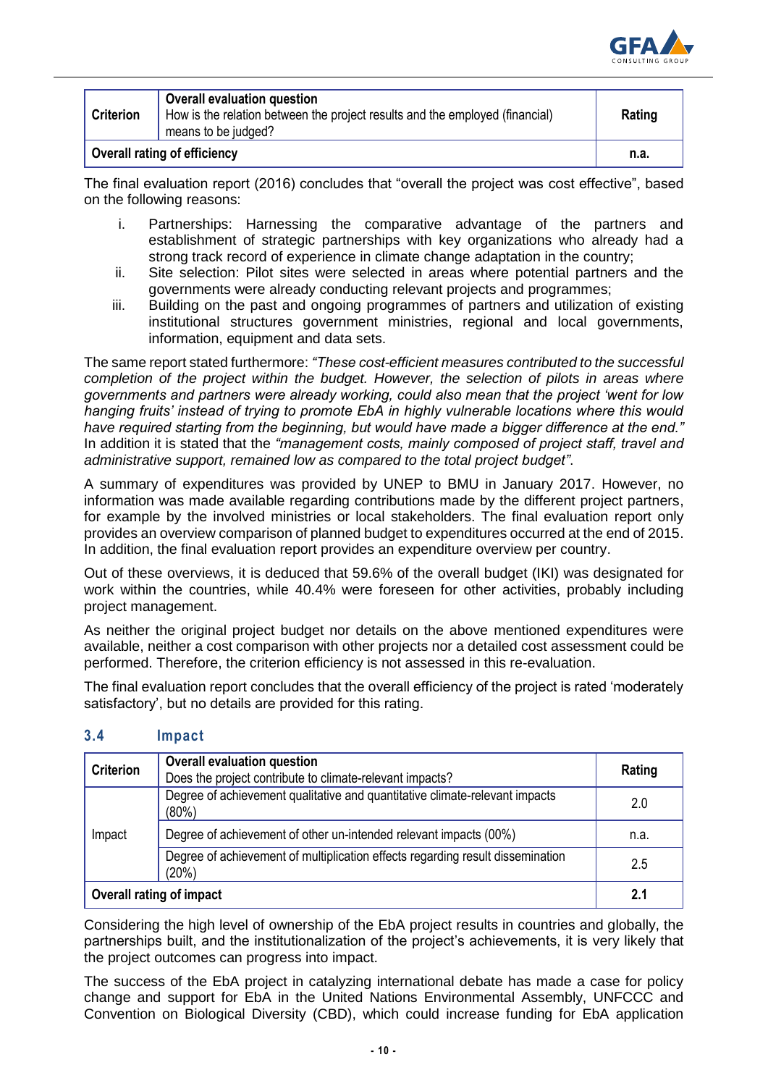

| <b>Criterion</b>                    | <b>Overall evaluation question</b><br>How is the relation between the project results and the employed (financial)<br>means to be judged? | Rating |
|-------------------------------------|-------------------------------------------------------------------------------------------------------------------------------------------|--------|
| <b>Overall rating of efficiency</b> |                                                                                                                                           | n.a.   |

The final evaluation report (2016) concludes that "overall the project was cost effective", based on the following reasons:

- i. Partnerships: Harnessing the comparative advantage of the partners and establishment of strategic partnerships with key organizations who already had a strong track record of experience in climate change adaptation in the country;
- ii. Site selection: Pilot sites were selected in areas where potential partners and the governments were already conducting relevant projects and programmes;
- iii. Building on the past and ongoing programmes of partners and utilization of existing institutional structures government ministries, regional and local governments, information, equipment and data sets.

The same report stated furthermore: *"These cost-efficient measures contributed to the successful completion of the project within the budget. However, the selection of pilots in areas where governments and partners were already working, could also mean that the project 'went for low hanging fruits' instead of trying to promote EbA in highly vulnerable locations where this would have required starting from the beginning, but would have made a bigger difference at the end."* In addition it is stated that the *"management costs, mainly composed of project staff, travel and administrative support, remained low as compared to the total project budget"*.

A summary of expenditures was provided by UNEP to BMU in January 2017. However, no information was made available regarding contributions made by the different project partners, for example by the involved ministries or local stakeholders. The final evaluation report only provides an overview comparison of planned budget to expenditures occurred at the end of 2015. In addition, the final evaluation report provides an expenditure overview per country.

Out of these overviews, it is deduced that 59.6% of the overall budget (IKI) was designated for work within the countries, while 40.4% were foreseen for other activities, probably including project management.

As neither the original project budget nor details on the above mentioned expenditures were available, neither a cost comparison with other projects nor a detailed cost assessment could be performed. Therefore, the criterion efficiency is not assessed in this re-evaluation.

The final evaluation report concludes that the overall efficiency of the project is rated 'moderately satisfactory', but no details are provided for this rating.

| <b>Criterion</b>                | <b>Overall evaluation question</b><br>Does the project contribute to climate-relevant impacts? | Rating |
|---------------------------------|------------------------------------------------------------------------------------------------|--------|
|                                 | Degree of achievement qualitative and quantitative climate-relevant impacts<br>(80%)           | 2.0    |
| Impact                          | Degree of achievement of other un-intended relevant impacts (00%)                              | n.a.   |
|                                 | Degree of achievement of multiplication effects regarding result dissemination<br>(20%)        | 2.5    |
| <b>Overall rating of impact</b> |                                                                                                | 2.1    |

### **3.4 Impact**

Considering the high level of ownership of the EbA project results in countries and globally, the partnerships built, and the institutionalization of the project's achievements, it is very likely that the project outcomes can progress into impact.

The success of the EbA project in catalyzing international debate has made a case for policy change and support for EbA in the United Nations Environmental Assembly, UNFCCC and Convention on Biological Diversity (CBD), which could increase funding for EbA application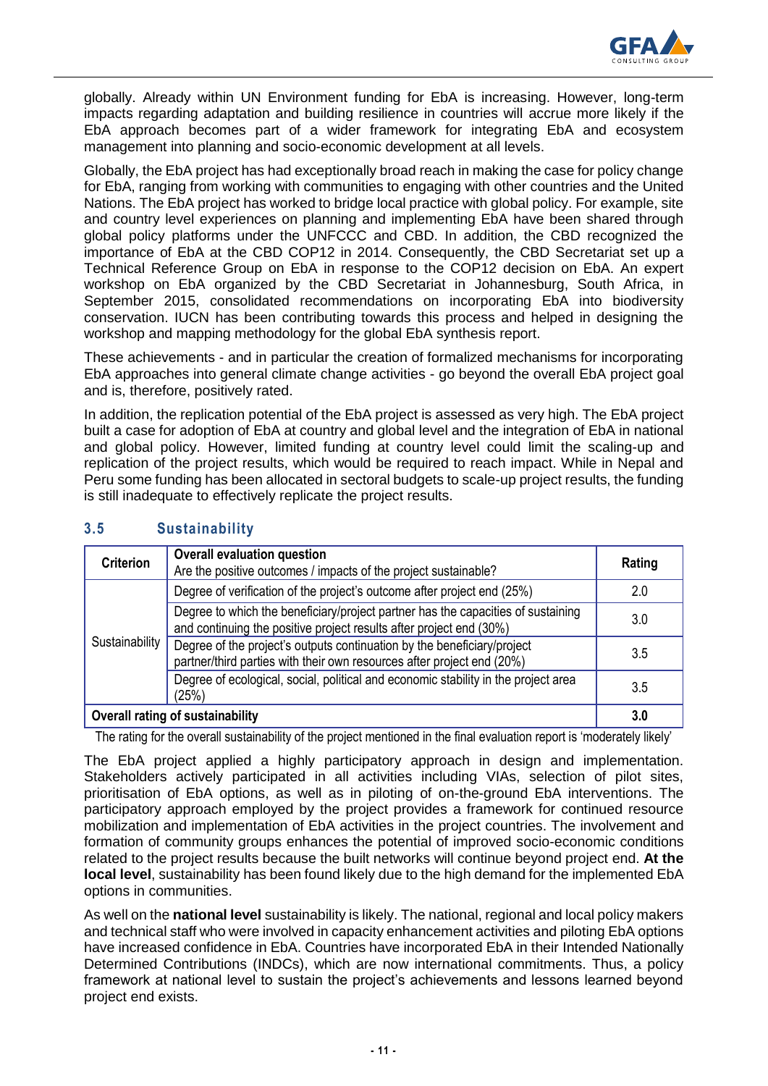

globally. Already within UN Environment funding for EbA is increasing. However, long-term impacts regarding adaptation and building resilience in countries will accrue more likely if the EbA approach becomes part of a wider framework for integrating EbA and ecosystem management into planning and socio-economic development at all levels.

Globally, the EbA project has had exceptionally broad reach in making the case for policy change for EbA, ranging from working with communities to engaging with other countries and the United Nations. The EbA project has worked to bridge local practice with global policy. For example, site and country level experiences on planning and implementing EbA have been shared through global policy platforms under the UNFCCC and CBD. In addition, the CBD recognized the importance of EbA at the CBD COP12 in 2014. Consequently, the CBD Secretariat set up a Technical Reference Group on EbA in response to the COP12 decision on EbA. An expert workshop on EbA organized by the CBD Secretariat in Johannesburg, South Africa, in September 2015, consolidated recommendations on incorporating EbA into biodiversity conservation. IUCN has been contributing towards this process and helped in designing the workshop and mapping methodology for the global EbA synthesis report.

These achievements - and in particular the creation of formalized mechanisms for incorporating EbA approaches into general climate change activities - go beyond the overall EbA project goal and is, therefore, positively rated.

In addition, the replication potential of the EbA project is assessed as very high. The EbA project built a case for adoption of EbA at country and global level and the integration of EbA in national and global policy. However, limited funding at country level could limit the scaling-up and replication of the project results, which would be required to reach impact. While in Nepal and Peru some funding has been allocated in sectoral budgets to scale-up project results, the funding is still inadequate to effectively replicate the project results.

| <b>Criterion</b>                        | <b>Overall evaluation question</b><br>Are the positive outcomes / impacts of the project sustainable?                                                   | Rating |
|-----------------------------------------|---------------------------------------------------------------------------------------------------------------------------------------------------------|--------|
| Sustainability                          | Degree of verification of the project's outcome after project end (25%)                                                                                 | 2.0    |
|                                         | Degree to which the beneficiary/project partner has the capacities of sustaining<br>and continuing the positive project results after project end (30%) | 3.0    |
|                                         | Degree of the project's outputs continuation by the beneficiary/project<br>partner/third parties with their own resources after project end (20%)       | 3.5    |
|                                         | Degree of ecological, social, political and economic stability in the project area<br>(25%)                                                             | 3.5    |
| <b>Overall rating of sustainability</b> |                                                                                                                                                         | 3.0    |

## **3.5 Sustainability**

The rating for the overall sustainability of the project mentioned in the final evaluation report is 'moderately likely'

The EbA project applied a highly participatory approach in design and implementation. Stakeholders actively participated in all activities including VIAs, selection of pilot sites, prioritisation of EbA options, as well as in piloting of on-the-ground EbA interventions. The participatory approach employed by the project provides a framework for continued resource mobilization and implementation of EbA activities in the project countries. The involvement and formation of community groups enhances the potential of improved socio-economic conditions related to the project results because the built networks will continue beyond project end. **At the local level**, sustainability has been found likely due to the high demand for the implemented EbA options in communities.

As well on the **national level** sustainability is likely. The national, regional and local policy makers and technical staff who were involved in capacity enhancement activities and piloting EbA options have increased confidence in EbA. Countries have incorporated EbA in their Intended Nationally Determined Contributions (INDCs), which are now international commitments. Thus, a policy framework at national level to sustain the project's achievements and lessons learned beyond project end exists.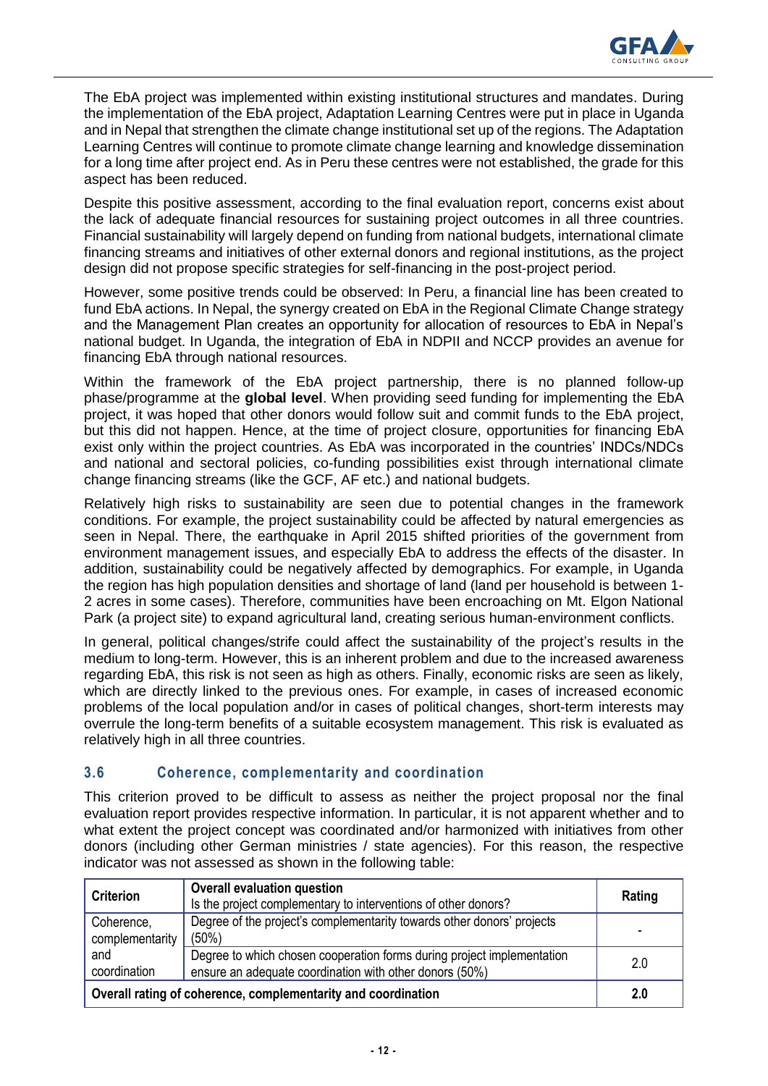

The EbA project was implemented within existing institutional structures and mandates. During the implementation of the EbA project, Adaptation Learning Centres were put in place in Uganda and in Nepal that strengthen the climate change institutional set up of the regions. The Adaptation Learning Centres will continue to promote climate change learning and knowledge dissemination for a long time after project end. As in Peru these centres were not established, the grade for this aspect has been reduced.

Despite this positive assessment, according to the final evaluation report, concerns exist about the lack of adequate financial resources for sustaining project outcomes in all three countries. Financial sustainability will largely depend on funding from national budgets, international climate financing streams and initiatives of other external donors and regional institutions, as the project design did not propose specific strategies for self-financing in the post-project period.

However, some positive trends could be observed: In Peru, a financial line has been created to fund EbA actions. In Nepal, the synergy created on EbA in the Regional Climate Change strategy and the Management Plan creates an opportunity for allocation of resources to EbA in Nepal's national budget. In Uganda, the integration of EbA in NDPII and NCCP provides an avenue for financing EbA through national resources.

Within the framework of the EbA project partnership, there is no planned follow-up phase/programme at the **global level**. When providing seed funding for implementing the EbA project, it was hoped that other donors would follow suit and commit funds to the EbA project, but this did not happen. Hence, at the time of project closure, opportunities for financing EbA exist only within the project countries. As EbA was incorporated in the countries' INDCs/NDCs and national and sectoral policies, co-funding possibilities exist through international climate change financing streams (like the GCF, AF etc.) and national budgets.

Relatively high risks to sustainability are seen due to potential changes in the framework conditions. For example, the project sustainability could be affected by natural emergencies as seen in Nepal. There, the earthquake in April 2015 shifted priorities of the government from environment management issues, and especially EbA to address the effects of the disaster. In addition, sustainability could be negatively affected by demographics. For example, in Uganda the region has high population densities and shortage of land (land per household is between 1- 2 acres in some cases). Therefore, communities have been encroaching on Mt. Elgon National Park (a project site) to expand agricultural land, creating serious human-environment conflicts.

In general, political changes/strife could affect the sustainability of the project's results in the medium to long-term. However, this is an inherent problem and due to the increased awareness regarding EbA, this risk is not seen as high as others. Finally, economic risks are seen as likely, which are directly linked to the previous ones. For example, in cases of increased economic problems of the local population and/or in cases of political changes, short-term interests may overrule the long-term benefits of a suitable ecosystem management. This risk is evaluated as relatively high in all three countries.

## **3.6 Coherence, complementarity and coordination**

This criterion proved to be difficult to assess as neither the project proposal nor the final evaluation report provides respective information. In particular, it is not apparent whether and to what extent the project concept was coordinated and/or harmonized with initiatives from other donors (including other German ministries / state agencies). For this reason, the respective indicator was not assessed as shown in the following table:

| <b>Criterion</b>                                     | <b>Overall evaluation question</b><br>Is the project complementary to interventions of other donors?                              | Rating |  |
|------------------------------------------------------|-----------------------------------------------------------------------------------------------------------------------------------|--------|--|
| Coherence,<br>complementarity<br>and<br>coordination | Degree of the project's complementarity towards other donors' projects<br>$(50\%)$                                                |        |  |
|                                                      | Degree to which chosen cooperation forms during project implementation<br>ensure an adequate coordination with other donors (50%) | 2.0    |  |
|                                                      | Overall rating of coherence, complementarity and coordination<br>2.0                                                              |        |  |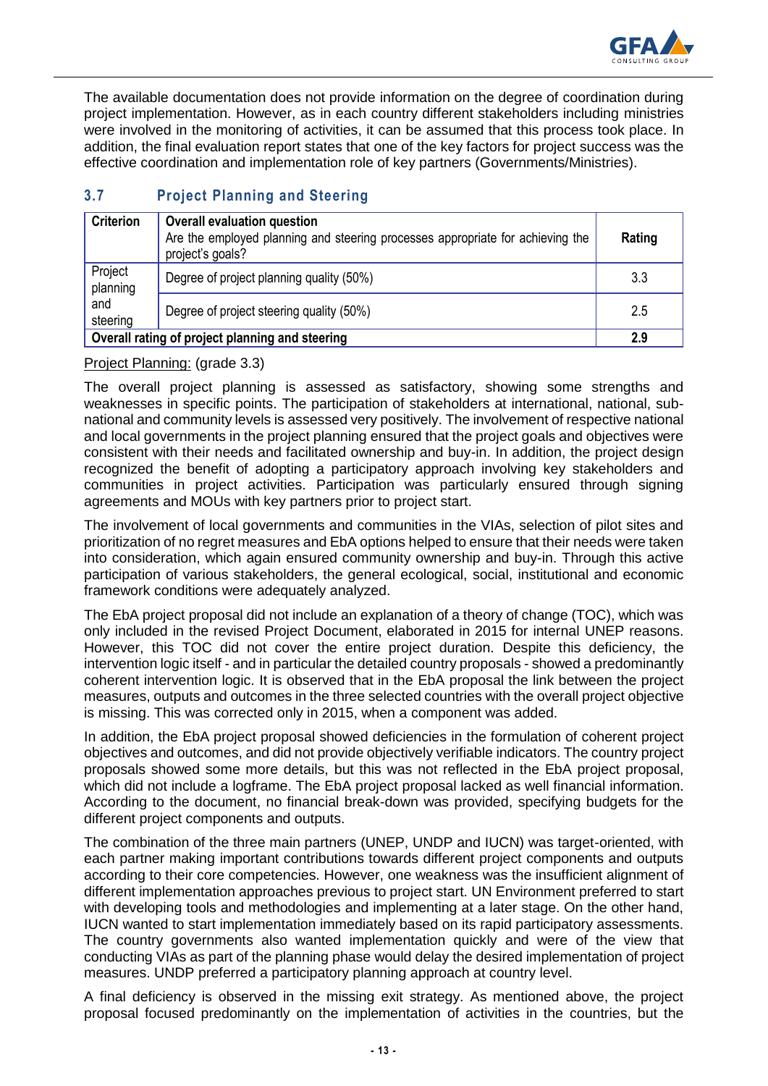

The available documentation does not provide information on the degree of coordination during project implementation. However, as in each country different stakeholders including ministries were involved in the monitoring of activities, it can be assumed that this process took place. In addition, the final evaluation report states that one of the key factors for project success was the effective coordination and implementation role of key partners (Governments/Ministries).

## **3.7 Project Planning and Steering**

| <b>Criterion</b>                                | <b>Overall evaluation question</b><br>Are the employed planning and steering processes appropriate for achieving the<br>project's goals? | Rating |
|-------------------------------------------------|------------------------------------------------------------------------------------------------------------------------------------------|--------|
| Project<br>planning                             | Degree of project planning quality (50%)                                                                                                 | 3.3    |
| and<br>steering                                 | Degree of project steering quality (50%)                                                                                                 | 2.5    |
| Overall rating of project planning and steering |                                                                                                                                          | 2.9    |

Project Planning: (grade 3.3)

The overall project planning is assessed as satisfactory, showing some strengths and weaknesses in specific points. The participation of stakeholders at international, national, subnational and community levels is assessed very positively. The involvement of respective national and local governments in the project planning ensured that the project goals and objectives were consistent with their needs and facilitated ownership and buy-in. In addition, the project design recognized the benefit of adopting a participatory approach involving key stakeholders and communities in project activities. Participation was particularly ensured through signing agreements and MOUs with key partners prior to project start.

The involvement of local governments and communities in the VIAs, selection of pilot sites and prioritization of no regret measures and EbA options helped to ensure that their needs were taken into consideration, which again ensured community ownership and buy-in. Through this active participation of various stakeholders, the general ecological, social, institutional and economic framework conditions were adequately analyzed.

The EbA project proposal did not include an explanation of a theory of change (TOC), which was only included in the revised Project Document, elaborated in 2015 for internal UNEP reasons. However, this TOC did not cover the entire project duration. Despite this deficiency, the intervention logic itself - and in particular the detailed country proposals - showed a predominantly coherent intervention logic. It is observed that in the EbA proposal the link between the project measures, outputs and outcomes in the three selected countries with the overall project objective is missing. This was corrected only in 2015, when a component was added.

In addition, the EbA project proposal showed deficiencies in the formulation of coherent project objectives and outcomes, and did not provide objectively verifiable indicators. The country project proposals showed some more details, but this was not reflected in the EbA project proposal, which did not include a logframe. The EbA project proposal lacked as well financial information. According to the document, no financial break-down was provided, specifying budgets for the different project components and outputs.

The combination of the three main partners (UNEP, UNDP and IUCN) was target-oriented, with each partner making important contributions towards different project components and outputs according to their core competencies. However, one weakness was the insufficient alignment of different implementation approaches previous to project start. UN Environment preferred to start with developing tools and methodologies and implementing at a later stage. On the other hand, IUCN wanted to start implementation immediately based on its rapid participatory assessments. The country governments also wanted implementation quickly and were of the view that conducting VIAs as part of the planning phase would delay the desired implementation of project measures. UNDP preferred a participatory planning approach at country level.

A final deficiency is observed in the missing exit strategy. As mentioned above, the project proposal focused predominantly on the implementation of activities in the countries, but the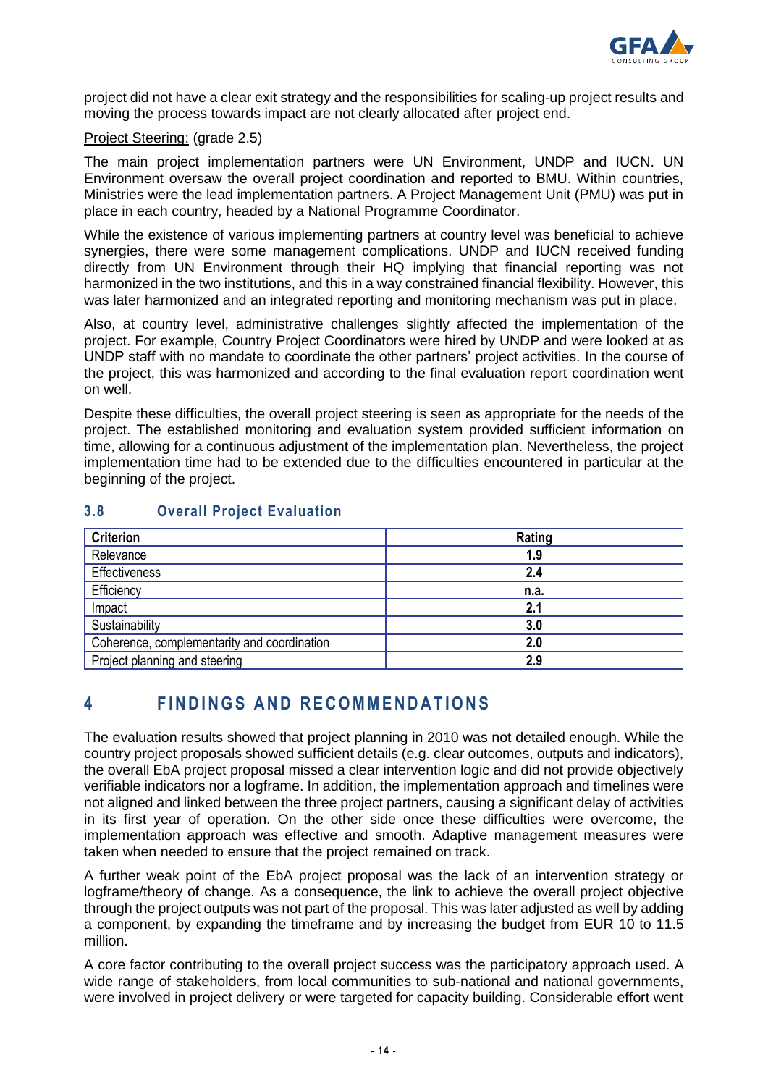

project did not have a clear exit strategy and the responsibilities for scaling-up project results and moving the process towards impact are not clearly allocated after project end.

#### Project Steering: (grade 2.5)

The main project implementation partners were UN Environment, UNDP and IUCN. UN Environment oversaw the overall project coordination and reported to BMU. Within countries, Ministries were the lead implementation partners. A Project Management Unit (PMU) was put in place in each country, headed by a National Programme Coordinator.

While the existence of various implementing partners at country level was beneficial to achieve synergies, there were some management complications. UNDP and IUCN received funding directly from UN Environment through their HQ implying that financial reporting was not harmonized in the two institutions, and this in a way constrained financial flexibility. However, this was later harmonized and an integrated reporting and monitoring mechanism was put in place.

Also, at country level, administrative challenges slightly affected the implementation of the project. For example, Country Project Coordinators were hired by UNDP and were looked at as UNDP staff with no mandate to coordinate the other partners' project activities. In the course of the project, this was harmonized and according to the final evaluation report coordination went on well.

Despite these difficulties, the overall project steering is seen as appropriate for the needs of the project. The established monitoring and evaluation system provided sufficient information on time, allowing for a continuous adjustment of the implementation plan. Nevertheless, the project implementation time had to be extended due to the difficulties encountered in particular at the beginning of the project.

| <b>Criterion</b>                            | Rating |
|---------------------------------------------|--------|
| Relevance                                   | 1.9    |
| Effectiveness                               | 2.4    |
| Efficiency                                  | n.a.   |
| Impact                                      | 2.1    |
| Sustainability                              | 3.0    |
| Coherence, complementarity and coordination | 2.0    |
| Project planning and steering               | 2.9    |

## **3.8 Overall Project Evaluation**

# **4 F I N D I N G S A N D R E C O M M E N D A T I O N S**

The evaluation results showed that project planning in 2010 was not detailed enough. While the country project proposals showed sufficient details (e.g. clear outcomes, outputs and indicators), the overall EbA project proposal missed a clear intervention logic and did not provide objectively verifiable indicators nor a logframe. In addition, the implementation approach and timelines were not aligned and linked between the three project partners, causing a significant delay of activities in its first year of operation. On the other side once these difficulties were overcome, the implementation approach was effective and smooth. Adaptive management measures were taken when needed to ensure that the project remained on track.

A further weak point of the EbA project proposal was the lack of an intervention strategy or logframe/theory of change. As a consequence, the link to achieve the overall project objective through the project outputs was not part of the proposal. This was later adjusted as well by adding a component, by expanding the timeframe and by increasing the budget from EUR 10 to 11.5 million.

A core factor contributing to the overall project success was the participatory approach used. A wide range of stakeholders, from local communities to sub-national and national governments, were involved in project delivery or were targeted for capacity building. Considerable effort went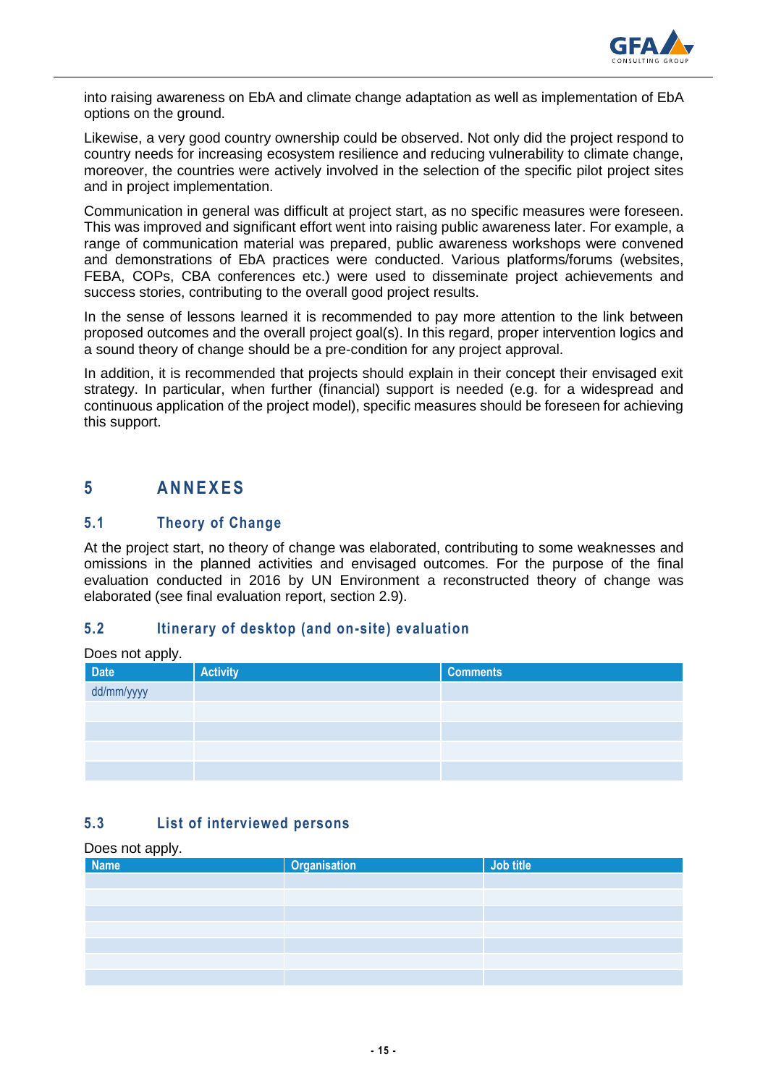

into raising awareness on EbA and climate change adaptation as well as implementation of EbA options on the ground.

Likewise, a very good country ownership could be observed. Not only did the project respond to country needs for increasing ecosystem resilience and reducing vulnerability to climate change, moreover, the countries were actively involved in the selection of the specific pilot project sites and in project implementation.

Communication in general was difficult at project start, as no specific measures were foreseen. This was improved and significant effort went into raising public awareness later. For example, a range of communication material was prepared, public awareness workshops were convened and demonstrations of EbA practices were conducted. Various platforms/forums (websites, FEBA, COPs, CBA conferences etc.) were used to disseminate project achievements and success stories, contributing to the overall good project results.

In the sense of lessons learned it is recommended to pay more attention to the link between proposed outcomes and the overall project goal(s). In this regard, proper intervention logics and a sound theory of change should be a pre-condition for any project approval.

In addition, it is recommended that projects should explain in their concept their envisaged exit strategy. In particular, when further (financial) support is needed (e.g. for a widespread and continuous application of the project model), specific measures should be foreseen for achieving this support.

# **5 A N N E X E S**

## **5.1 Theory of Change**

At the project start, no theory of change was elaborated, contributing to some weaknesses and omissions in the planned activities and envisaged outcomes. For the purpose of the final evaluation conducted in 2016 by UN Environment a reconstructed theory of change was elaborated (see final evaluation report, section 2.9).

## **5.2 Itinerary of desktop (and on-site) evaluation**

| Does not apply.<br>Date | <b>Activity</b> | <b>Comments</b> |  |
|-------------------------|-----------------|-----------------|--|
| dd/mm/yyyy              |                 |                 |  |
|                         |                 |                 |  |
|                         |                 |                 |  |
|                         |                 |                 |  |
|                         |                 |                 |  |

## **5.3 List of interviewed persons**

#### Does not apply.

| .<br><b>Name</b> | <b>Organisation</b> | Job title |
|------------------|---------------------|-----------|
|                  |                     |           |
|                  |                     |           |
|                  |                     |           |
|                  |                     |           |
|                  |                     |           |
|                  |                     |           |
|                  |                     |           |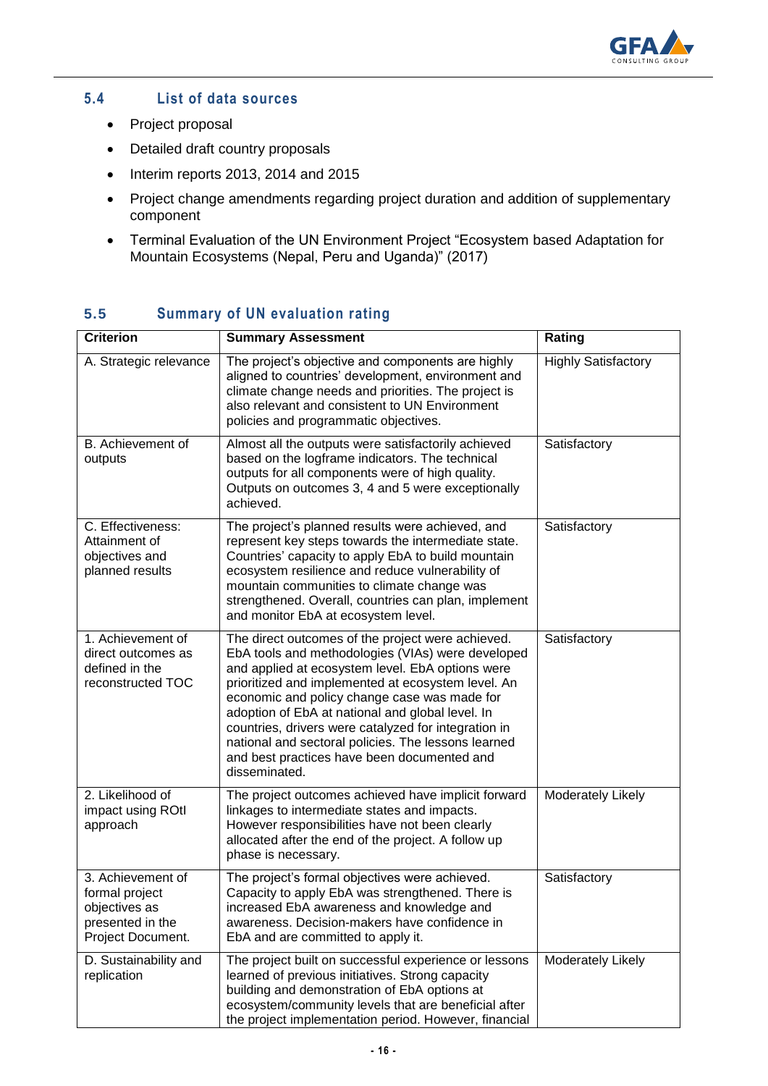

## **5.4 List of data sources**

- Project proposal
- Detailed draft country proposals
- Interim reports 2013, 2014 and 2015
- Project change amendments regarding project duration and addition of supplementary component
- Terminal Evaluation of the UN Environment Project "Ecosystem based Adaptation for Mountain Ecosystems (Nepal, Peru and Uganda)" (2017)

| <b>Criterion</b>                                                                              | <b>Summary Assessment</b>                                                                                                                                                                                                                                                                                                                                                                                                                                                                           | Rating                     |
|-----------------------------------------------------------------------------------------------|-----------------------------------------------------------------------------------------------------------------------------------------------------------------------------------------------------------------------------------------------------------------------------------------------------------------------------------------------------------------------------------------------------------------------------------------------------------------------------------------------------|----------------------------|
| A. Strategic relevance                                                                        | The project's objective and components are highly<br>aligned to countries' development, environment and<br>climate change needs and priorities. The project is<br>also relevant and consistent to UN Environment<br>policies and programmatic objectives.                                                                                                                                                                                                                                           | <b>Highly Satisfactory</b> |
| B. Achievement of<br>outputs                                                                  | Almost all the outputs were satisfactorily achieved<br>based on the logframe indicators. The technical<br>outputs for all components were of high quality.<br>Outputs on outcomes 3, 4 and 5 were exceptionally<br>achieved.                                                                                                                                                                                                                                                                        | Satisfactory               |
| C. Effectiveness:<br>Attainment of<br>objectives and<br>planned results                       | The project's planned results were achieved, and<br>represent key steps towards the intermediate state.<br>Countries' capacity to apply EbA to build mountain<br>ecosystem resilience and reduce vulnerability of<br>mountain communities to climate change was<br>strengthened. Overall, countries can plan, implement<br>and monitor EbA at ecosystem level.                                                                                                                                      | Satisfactory               |
| 1. Achievement of<br>direct outcomes as<br>defined in the<br>reconstructed TOC                | The direct outcomes of the project were achieved.<br>EbA tools and methodologies (VIAs) were developed<br>and applied at ecosystem level. EbA options were<br>prioritized and implemented at ecosystem level. An<br>economic and policy change case was made for<br>adoption of EbA at national and global level. In<br>countries, drivers were catalyzed for integration in<br>national and sectoral policies. The lessons learned<br>and best practices have been documented and<br>disseminated. | Satisfactory               |
| 2. Likelihood of<br>impact using ROtl<br>approach                                             | The project outcomes achieved have implicit forward<br>linkages to intermediate states and impacts.<br>However responsibilities have not been clearly<br>allocated after the end of the project. A follow up<br>phase is necessary.                                                                                                                                                                                                                                                                 | Moderately Likely          |
| 3. Achievement of<br>formal project<br>objectives as<br>presented in the<br>Project Document. | The project's formal objectives were achieved.<br>Capacity to apply EbA was strengthened. There is<br>increased EbA awareness and knowledge and<br>awareness. Decision-makers have confidence in<br>EbA and are committed to apply it.                                                                                                                                                                                                                                                              | Satisfactory               |
| D. Sustainability and<br>replication                                                          | The project built on successful experience or lessons<br>learned of previous initiatives. Strong capacity<br>building and demonstration of EbA options at<br>ecosystem/community levels that are beneficial after<br>the project implementation period. However, financial                                                                                                                                                                                                                          | Moderately Likely          |

# **5.5 Summary of UN evaluation rating**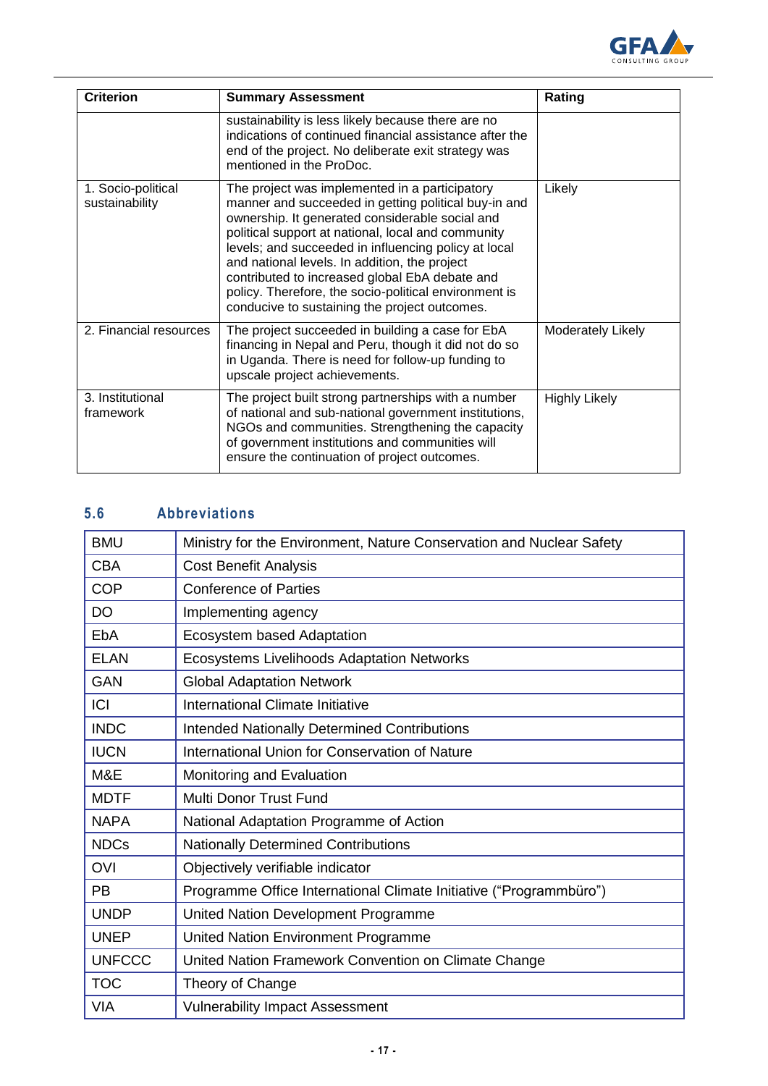

| <b>Criterion</b>                     | <b>Summary Assessment</b>                                                                                                                                                                                                                                                                                                                                                                                                                                                            | Rating               |
|--------------------------------------|--------------------------------------------------------------------------------------------------------------------------------------------------------------------------------------------------------------------------------------------------------------------------------------------------------------------------------------------------------------------------------------------------------------------------------------------------------------------------------------|----------------------|
|                                      | sustainability is less likely because there are no<br>indications of continued financial assistance after the<br>end of the project. No deliberate exit strategy was<br>mentioned in the ProDoc.                                                                                                                                                                                                                                                                                     |                      |
| 1. Socio-political<br>sustainability | The project was implemented in a participatory<br>manner and succeeded in getting political buy-in and<br>ownership. It generated considerable social and<br>political support at national, local and community<br>levels; and succeeded in influencing policy at local<br>and national levels. In addition, the project<br>contributed to increased global EbA debate and<br>policy. Therefore, the socio-political environment is<br>conducive to sustaining the project outcomes. | Likely               |
| 2. Financial resources               | The project succeeded in building a case for EbA<br>financing in Nepal and Peru, though it did not do so<br>in Uganda. There is need for follow-up funding to<br>upscale project achievements.                                                                                                                                                                                                                                                                                       | Moderately Likely    |
| 3. Institutional<br>framework        | The project built strong partnerships with a number<br>of national and sub-national government institutions,<br>NGOs and communities. Strengthening the capacity<br>of government institutions and communities will<br>ensure the continuation of project outcomes.                                                                                                                                                                                                                  | <b>Highly Likely</b> |

## **5.6 Abbreviations**

| <b>BMU</b>    | Ministry for the Environment, Nature Conservation and Nuclear Safety |
|---------------|----------------------------------------------------------------------|
| <b>CBA</b>    | <b>Cost Benefit Analysis</b>                                         |
| <b>COP</b>    | <b>Conference of Parties</b>                                         |
| <b>DO</b>     | Implementing agency                                                  |
| <b>EbA</b>    | Ecosystem based Adaptation                                           |
| <b>ELAN</b>   | Ecosystems Livelihoods Adaptation Networks                           |
| <b>GAN</b>    | <b>Global Adaptation Network</b>                                     |
| ICI           | International Climate Initiative                                     |
| <b>INDC</b>   | <b>Intended Nationally Determined Contributions</b>                  |
| <b>IUCN</b>   | International Union for Conservation of Nature                       |
| M&E           | Monitoring and Evaluation                                            |
| <b>MDTF</b>   | Multi Donor Trust Fund                                               |
| <b>NAPA</b>   | National Adaptation Programme of Action                              |
| <b>NDCs</b>   | <b>Nationally Determined Contributions</b>                           |
| <b>OVI</b>    | Objectively verifiable indicator                                     |
| <b>PB</b>     | Programme Office International Climate Initiative ("Programmbüro")   |
| <b>UNDP</b>   | United Nation Development Programme                                  |
| <b>UNEP</b>   | United Nation Environment Programme                                  |
| <b>UNFCCC</b> | United Nation Framework Convention on Climate Change                 |
| <b>TOC</b>    | Theory of Change                                                     |
| <b>VIA</b>    | <b>Vulnerability Impact Assessment</b>                               |